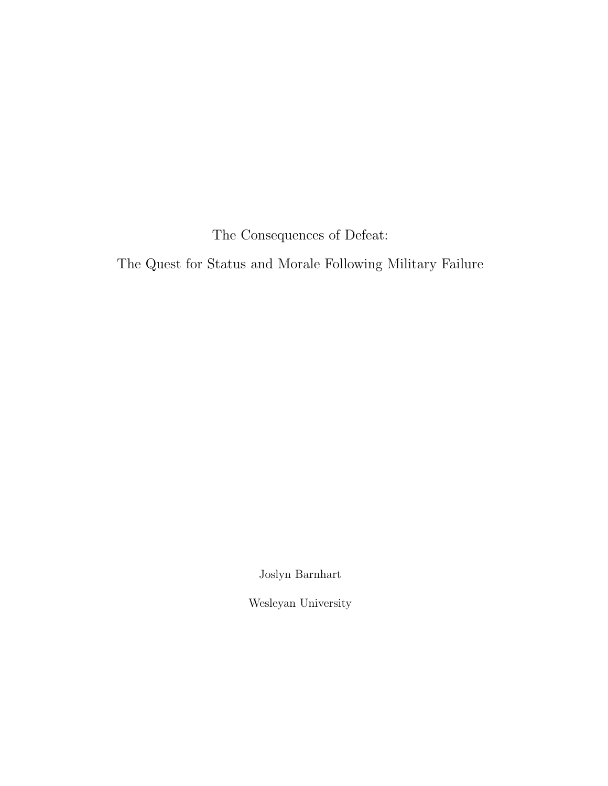The Consequences of Defeat:

The Quest for Status and Morale Following Military Failure

Joslyn Barnhart

Wesleyan University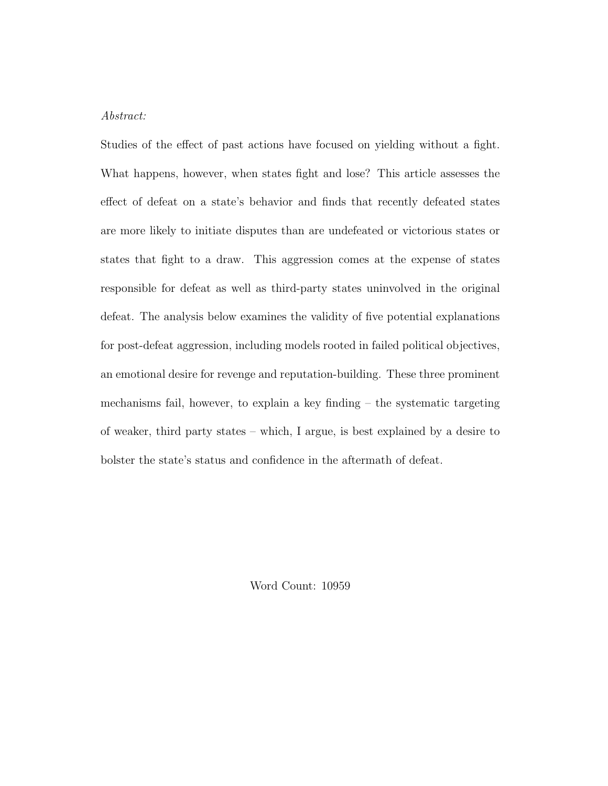### Abstract:

Studies of the effect of past actions have focused on yielding without a fight. What happens, however, when states fight and lose? This article assesses the effect of defeat on a state's behavior and finds that recently defeated states are more likely to initiate disputes than are undefeated or victorious states or states that fight to a draw. This aggression comes at the expense of states responsible for defeat as well as third-party states uninvolved in the original defeat. The analysis below examines the validity of five potential explanations for post-defeat aggression, including models rooted in failed political objectives, an emotional desire for revenge and reputation-building. These three prominent mechanisms fail, however, to explain a key finding – the systematic targeting of weaker, third party states – which, I argue, is best explained by a desire to bolster the state's status and confidence in the aftermath of defeat.

Word Count: 10959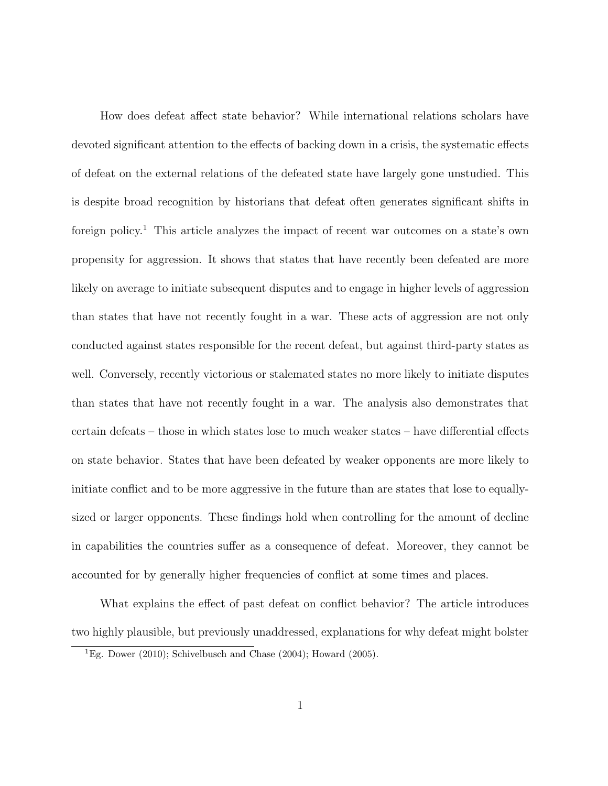How does defeat affect state behavior? While international relations scholars have devoted significant attention to the effects of backing down in a crisis, the systematic effects of defeat on the external relations of the defeated state have largely gone unstudied. This is despite broad recognition by historians that defeat often generates significant shifts in foreign policy.<sup>1</sup> This article analyzes the impact of recent war outcomes on a state's own propensity for aggression. It shows that states that have recently been defeated are more likely on average to initiate subsequent disputes and to engage in higher levels of aggression than states that have not recently fought in a war. These acts of aggression are not only conducted against states responsible for the recent defeat, but against third-party states as well. Conversely, recently victorious or stalemated states no more likely to initiate disputes than states that have not recently fought in a war. The analysis also demonstrates that certain defeats – those in which states lose to much weaker states – have differential effects on state behavior. States that have been defeated by weaker opponents are more likely to initiate conflict and to be more aggressive in the future than are states that lose to equallysized or larger opponents. These findings hold when controlling for the amount of decline in capabilities the countries suffer as a consequence of defeat. Moreover, they cannot be accounted for by generally higher frequencies of conflict at some times and places.

What explains the effect of past defeat on conflict behavior? The article introduces two highly plausible, but previously unaddressed, explanations for why defeat might bolster

<sup>&</sup>lt;sup>1</sup>Eg. Dower (2010); Schivelbusch and Chase (2004); Howard (2005).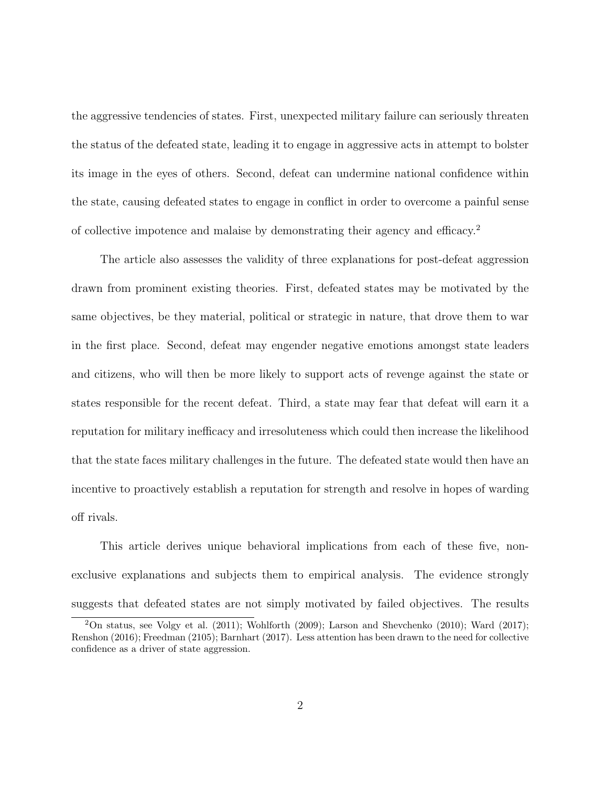the aggressive tendencies of states. First, unexpected military failure can seriously threaten the status of the defeated state, leading it to engage in aggressive acts in attempt to bolster its image in the eyes of others. Second, defeat can undermine national confidence within the state, causing defeated states to engage in conflict in order to overcome a painful sense of collective impotence and malaise by demonstrating their agency and efficacy.<sup>2</sup>

The article also assesses the validity of three explanations for post-defeat aggression drawn from prominent existing theories. First, defeated states may be motivated by the same objectives, be they material, political or strategic in nature, that drove them to war in the first place. Second, defeat may engender negative emotions amongst state leaders and citizens, who will then be more likely to support acts of revenge against the state or states responsible for the recent defeat. Third, a state may fear that defeat will earn it a reputation for military inefficacy and irresoluteness which could then increase the likelihood that the state faces military challenges in the future. The defeated state would then have an incentive to proactively establish a reputation for strength and resolve in hopes of warding off rivals.

This article derives unique behavioral implications from each of these five, nonexclusive explanations and subjects them to empirical analysis. The evidence strongly suggests that defeated states are not simply motivated by failed objectives. The results

<sup>2</sup>On status, see Volgy et al. (2011); Wohlforth (2009); Larson and Shevchenko (2010); Ward (2017); Renshon (2016); Freedman (2105); Barnhart (2017). Less attention has been drawn to the need for collective confidence as a driver of state aggression.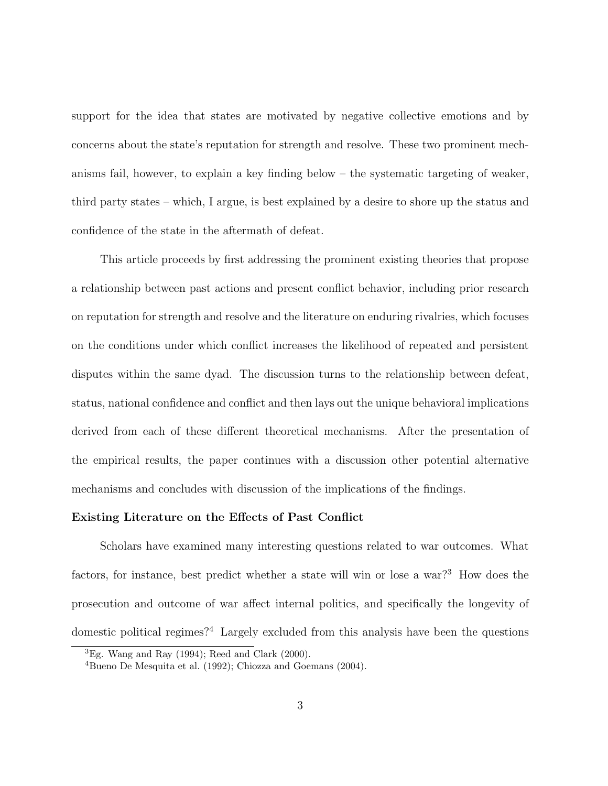support for the idea that states are motivated by negative collective emotions and by concerns about the state's reputation for strength and resolve. These two prominent mechanisms fail, however, to explain a key finding below – the systematic targeting of weaker, third party states – which, I argue, is best explained by a desire to shore up the status and confidence of the state in the aftermath of defeat.

This article proceeds by first addressing the prominent existing theories that propose a relationship between past actions and present conflict behavior, including prior research on reputation for strength and resolve and the literature on enduring rivalries, which focuses on the conditions under which conflict increases the likelihood of repeated and persistent disputes within the same dyad. The discussion turns to the relationship between defeat, status, national confidence and conflict and then lays out the unique behavioral implications derived from each of these different theoretical mechanisms. After the presentation of the empirical results, the paper continues with a discussion other potential alternative mechanisms and concludes with discussion of the implications of the findings.

### Existing Literature on the Effects of Past Conflict

Scholars have examined many interesting questions related to war outcomes. What factors, for instance, best predict whether a state will win or lose a war?<sup>3</sup> How does the prosecution and outcome of war affect internal politics, and specifically the longevity of domestic political regimes?<sup>4</sup> Largely excluded from this analysis have been the questions

 ${}^{3}Eg$ . Wang and Ray (1994); Reed and Clark (2000).

<sup>4</sup>Bueno De Mesquita et al. (1992); Chiozza and Goemans (2004).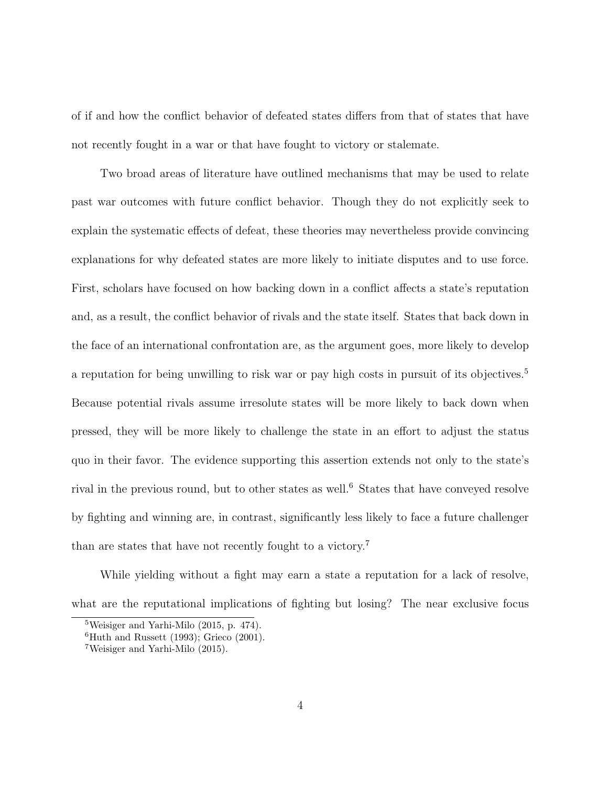of if and how the conflict behavior of defeated states differs from that of states that have not recently fought in a war or that have fought to victory or stalemate.

Two broad areas of literature have outlined mechanisms that may be used to relate past war outcomes with future conflict behavior. Though they do not explicitly seek to explain the systematic effects of defeat, these theories may nevertheless provide convincing explanations for why defeated states are more likely to initiate disputes and to use force. First, scholars have focused on how backing down in a conflict affects a state's reputation and, as a result, the conflict behavior of rivals and the state itself. States that back down in the face of an international confrontation are, as the argument goes, more likely to develop a reputation for being unwilling to risk war or pay high costs in pursuit of its objectives.<sup>5</sup> Because potential rivals assume irresolute states will be more likely to back down when pressed, they will be more likely to challenge the state in an effort to adjust the status quo in their favor. The evidence supporting this assertion extends not only to the state's rival in the previous round, but to other states as well.<sup>6</sup> States that have conveyed resolve by fighting and winning are, in contrast, significantly less likely to face a future challenger than are states that have not recently fought to a victory.<sup>7</sup>

While yielding without a fight may earn a state a reputation for a lack of resolve, what are the reputational implications of fighting but losing? The near exclusive focus

<sup>5</sup>Weisiger and Yarhi-Milo (2015, p. 474).

 ${}^{6}$ Huth and Russett (1993); Grieco (2001).

<sup>7</sup>Weisiger and Yarhi-Milo (2015).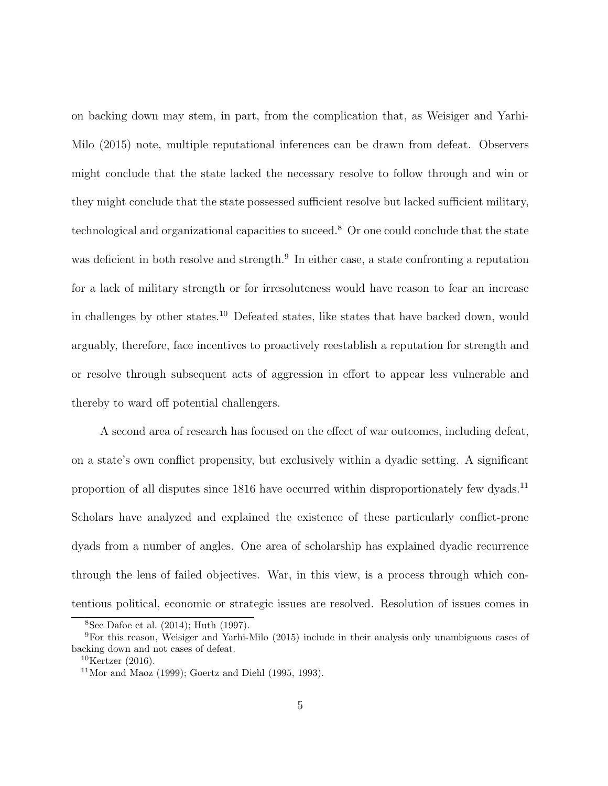on backing down may stem, in part, from the complication that, as Weisiger and Yarhi-Milo (2015) note, multiple reputational inferences can be drawn from defeat. Observers might conclude that the state lacked the necessary resolve to follow through and win or they might conclude that the state possessed sufficient resolve but lacked sufficient military, technological and organizational capacities to suceed.<sup>8</sup> Or one could conclude that the state was deficient in both resolve and strength.<sup>9</sup> In either case, a state confronting a reputation for a lack of military strength or for irresoluteness would have reason to fear an increase in challenges by other states.<sup>10</sup> Defeated states, like states that have backed down, would arguably, therefore, face incentives to proactively reestablish a reputation for strength and or resolve through subsequent acts of aggression in effort to appear less vulnerable and thereby to ward off potential challengers.

A second area of research has focused on the effect of war outcomes, including defeat, on a state's own conflict propensity, but exclusively within a dyadic setting. A significant proportion of all disputes since 1816 have occurred within disproportionately few dyads.<sup>11</sup> Scholars have analyzed and explained the existence of these particularly conflict-prone dyads from a number of angles. One area of scholarship has explained dyadic recurrence through the lens of failed objectives. War, in this view, is a process through which contentious political, economic or strategic issues are resolved. Resolution of issues comes in

<sup>8</sup>See Dafoe et al. (2014); Huth (1997).

<sup>9</sup>For this reason, Weisiger and Yarhi-Milo (2015) include in their analysis only unambiguous cases of backing down and not cases of defeat.

 $10$ Kertzer (2016).

 $11$ Mor and Maoz (1999); Goertz and Diehl (1995, 1993).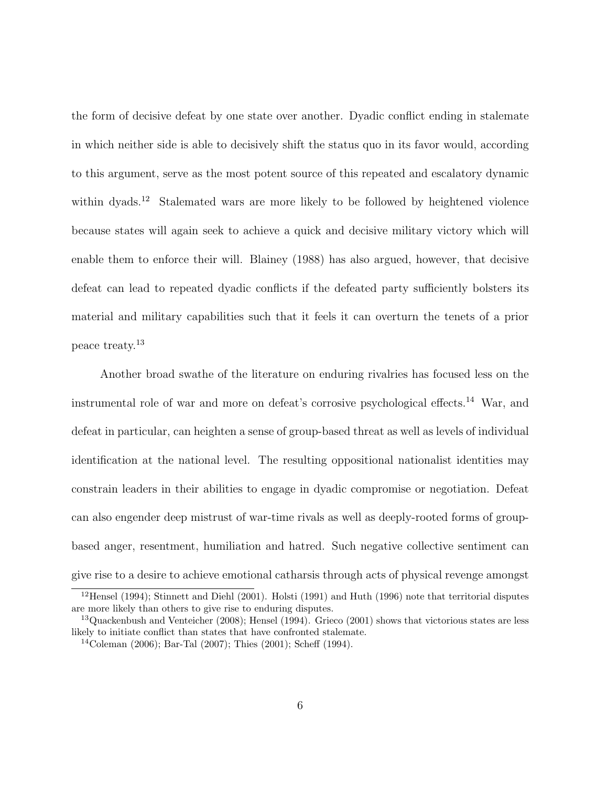the form of decisive defeat by one state over another. Dyadic conflict ending in stalemate in which neither side is able to decisively shift the status quo in its favor would, according to this argument, serve as the most potent source of this repeated and escalatory dynamic within dyads.<sup>12</sup> Stalemated wars are more likely to be followed by heightened violence because states will again seek to achieve a quick and decisive military victory which will enable them to enforce their will. Blainey (1988) has also argued, however, that decisive defeat can lead to repeated dyadic conflicts if the defeated party sufficiently bolsters its material and military capabilities such that it feels it can overturn the tenets of a prior peace treaty.<sup>13</sup>

Another broad swathe of the literature on enduring rivalries has focused less on the instrumental role of war and more on defeat's corrosive psychological effects.<sup>14</sup> War, and defeat in particular, can heighten a sense of group-based threat as well as levels of individual identification at the national level. The resulting oppositional nationalist identities may constrain leaders in their abilities to engage in dyadic compromise or negotiation. Defeat can also engender deep mistrust of war-time rivals as well as deeply-rooted forms of groupbased anger, resentment, humiliation and hatred. Such negative collective sentiment can give rise to a desire to achieve emotional catharsis through acts of physical revenge amongst

<sup>12</sup>Hensel (1994); Stinnett and Diehl (2001). Holsti (1991) and Huth (1996) note that territorial disputes are more likely than others to give rise to enduring disputes.

<sup>&</sup>lt;sup>13</sup>Quackenbush and Venteicher  $(2008)$ ; Hensel  $(1994)$ . Grieco  $(2001)$  shows that victorious states are less likely to initiate conflict than states that have confronted stalemate.

<sup>14</sup>Coleman (2006); Bar-Tal (2007); Thies (2001); Scheff (1994).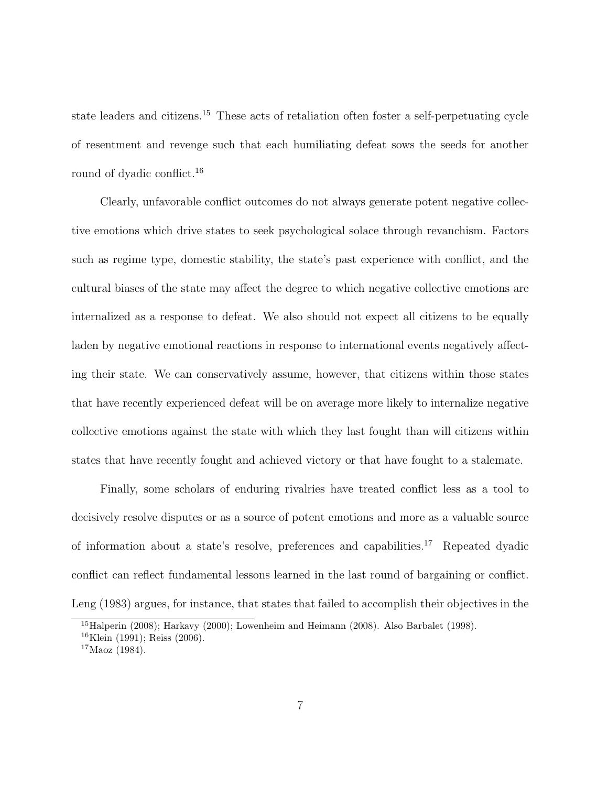state leaders and citizens.<sup>15</sup> These acts of retaliation often foster a self-perpetuating cycle of resentment and revenge such that each humiliating defeat sows the seeds for another round of dyadic conflict.<sup>16</sup>

Clearly, unfavorable conflict outcomes do not always generate potent negative collective emotions which drive states to seek psychological solace through revanchism. Factors such as regime type, domestic stability, the state's past experience with conflict, and the cultural biases of the state may affect the degree to which negative collective emotions are internalized as a response to defeat. We also should not expect all citizens to be equally laden by negative emotional reactions in response to international events negatively affecting their state. We can conservatively assume, however, that citizens within those states that have recently experienced defeat will be on average more likely to internalize negative collective emotions against the state with which they last fought than will citizens within states that have recently fought and achieved victory or that have fought to a stalemate.

Finally, some scholars of enduring rivalries have treated conflict less as a tool to decisively resolve disputes or as a source of potent emotions and more as a valuable source of information about a state's resolve, preferences and capabilities.<sup>17</sup> Repeated dyadic conflict can reflect fundamental lessons learned in the last round of bargaining or conflict. Leng (1983) argues, for instance, that states that failed to accomplish their objectives in the

<sup>&</sup>lt;sup>15</sup>Halperin (2008); Harkavy (2000); Lowenheim and Heimann (2008). Also Barbalet (1998).

<sup>16</sup>Klein (1991); Reiss (2006).

 $17$ Maoz (1984).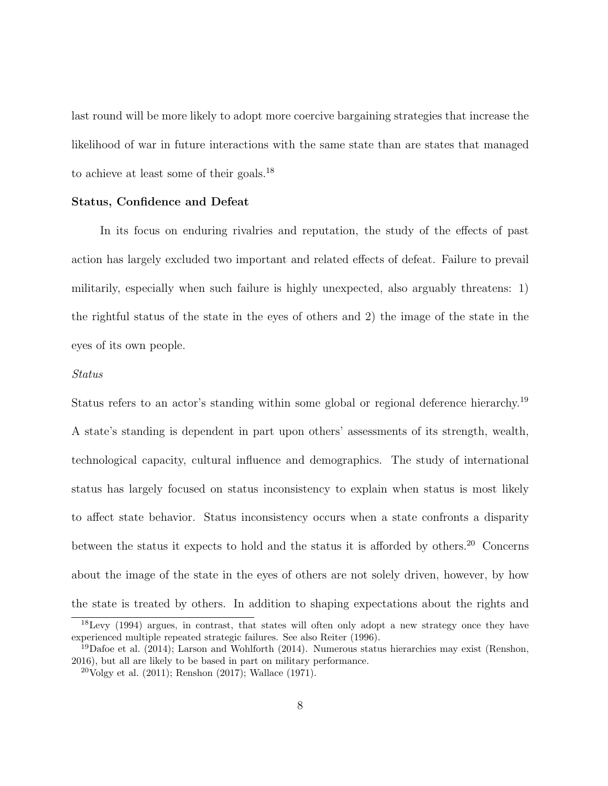last round will be more likely to adopt more coercive bargaining strategies that increase the likelihood of war in future interactions with the same state than are states that managed to achieve at least some of their goals.<sup>18</sup>

### Status, Confidence and Defeat

In its focus on enduring rivalries and reputation, the study of the effects of past action has largely excluded two important and related effects of defeat. Failure to prevail militarily, especially when such failure is highly unexpected, also arguably threatens: 1) the rightful status of the state in the eyes of others and 2) the image of the state in the eyes of its own people.

#### Status

Status refers to an actor's standing within some global or regional deference hierarchy.<sup>19</sup> A state's standing is dependent in part upon others' assessments of its strength, wealth, technological capacity, cultural influence and demographics. The study of international status has largely focused on status inconsistency to explain when status is most likely to affect state behavior. Status inconsistency occurs when a state confronts a disparity between the status it expects to hold and the status it is afforded by others.<sup>20</sup> Concerns about the image of the state in the eyes of others are not solely driven, however, by how the state is treated by others. In addition to shaping expectations about the rights and

<sup>18</sup>Levy (1994) argues, in contrast, that states will often only adopt a new strategy once they have experienced multiple repeated strategic failures. See also Reiter (1996).

 $19$ Dafoe et al. (2014); Larson and Wohlforth (2014). Numerous status hierarchies may exist (Renshon, 2016), but all are likely to be based in part on military performance.

 $^{20}$ Volgy et al. (2011); Renshon (2017); Wallace (1971).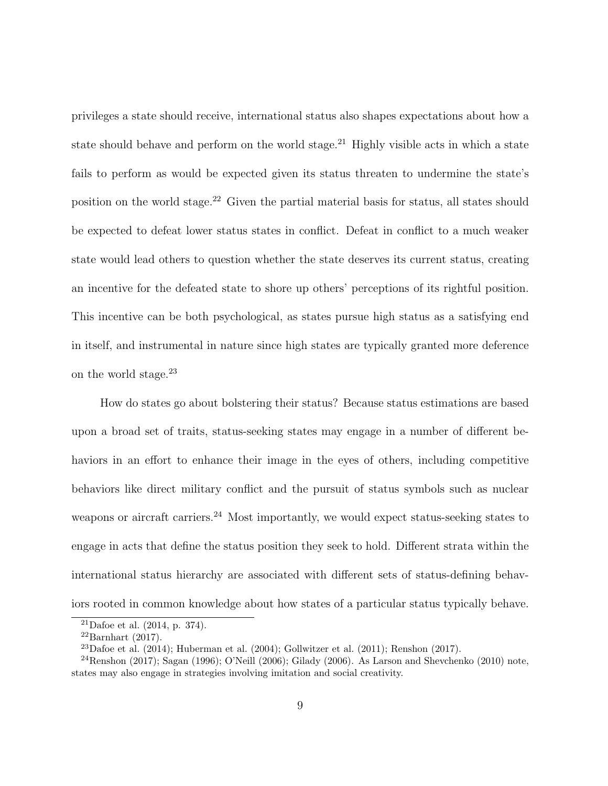privileges a state should receive, international status also shapes expectations about how a state should behave and perform on the world stage.<sup>21</sup> Highly visible acts in which a state fails to perform as would be expected given its status threaten to undermine the state's position on the world stage.<sup>22</sup> Given the partial material basis for status, all states should be expected to defeat lower status states in conflict. Defeat in conflict to a much weaker state would lead others to question whether the state deserves its current status, creating an incentive for the defeated state to shore up others' perceptions of its rightful position. This incentive can be both psychological, as states pursue high status as a satisfying end in itself, and instrumental in nature since high states are typically granted more deference on the world stage.<sup>23</sup>

How do states go about bolstering their status? Because status estimations are based upon a broad set of traits, status-seeking states may engage in a number of different behaviors in an effort to enhance their image in the eyes of others, including competitive behaviors like direct military conflict and the pursuit of status symbols such as nuclear weapons or aircraft carriers.<sup>24</sup> Most importantly, we would expect status-seeking states to engage in acts that define the status position they seek to hold. Different strata within the international status hierarchy are associated with different sets of status-defining behaviors rooted in common knowledge about how states of a particular status typically behave.

<sup>&</sup>lt;sup>21</sup>Dafoe et al.  $(2014, p. 374)$ .

 $^{22}$ Barnhart (2017).

<sup>&</sup>lt;sup>23</sup>Dafoe et al. (2014); Huberman et al. (2004); Gollwitzer et al. (2011); Renshon (2017).

 $^{24}$ Renshon (2017); Sagan (1996); O'Neill (2006); Gilady (2006). As Larson and Shevchenko (2010) note, states may also engage in strategies involving imitation and social creativity.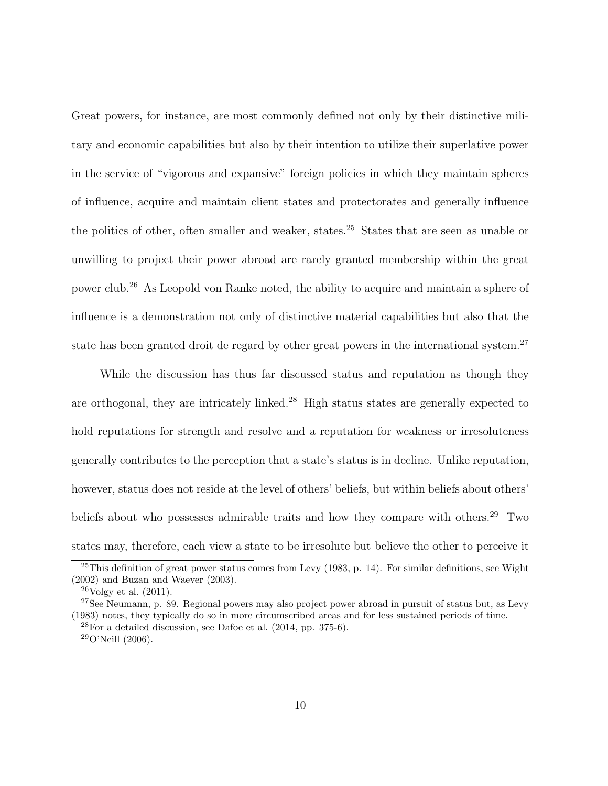Great powers, for instance, are most commonly defined not only by their distinctive military and economic capabilities but also by their intention to utilize their superlative power in the service of "vigorous and expansive" foreign policies in which they maintain spheres of influence, acquire and maintain client states and protectorates and generally influence the politics of other, often smaller and weaker, states.<sup>25</sup> States that are seen as unable or unwilling to project their power abroad are rarely granted membership within the great power club.<sup>26</sup> As Leopold von Ranke noted, the ability to acquire and maintain a sphere of influence is a demonstration not only of distinctive material capabilities but also that the state has been granted droit de regard by other great powers in the international system.<sup>27</sup>

While the discussion has thus far discussed status and reputation as though they are orthogonal, they are intricately linked.<sup>28</sup> High status states are generally expected to hold reputations for strength and resolve and a reputation for weakness or irresoluteness generally contributes to the perception that a state's status is in decline. Unlike reputation, however, status does not reside at the level of others' beliefs, but within beliefs about others' beliefs about who possesses admirable traits and how they compare with others.<sup>29</sup> Two states may, therefore, each view a state to be irresolute but believe the other to perceive it

 $25$ This definition of great power status comes from Levy (1983, p. 14). For similar definitions, see Wight (2002) and Buzan and Waever (2003).

 $^{26}$ Volgy et al.  $(2011)$ .

<sup>&</sup>lt;sup>27</sup>See Neumann, p. 89. Regional powers may also project power abroad in pursuit of status but, as Levy (1983) notes, they typically do so in more circumscribed areas and for less sustained periods of time.  $^{28}$ For a detailed discussion, see Dafoe et al. (2014, pp. 375-6).  $29^{\circ}$ O'Neill (2006).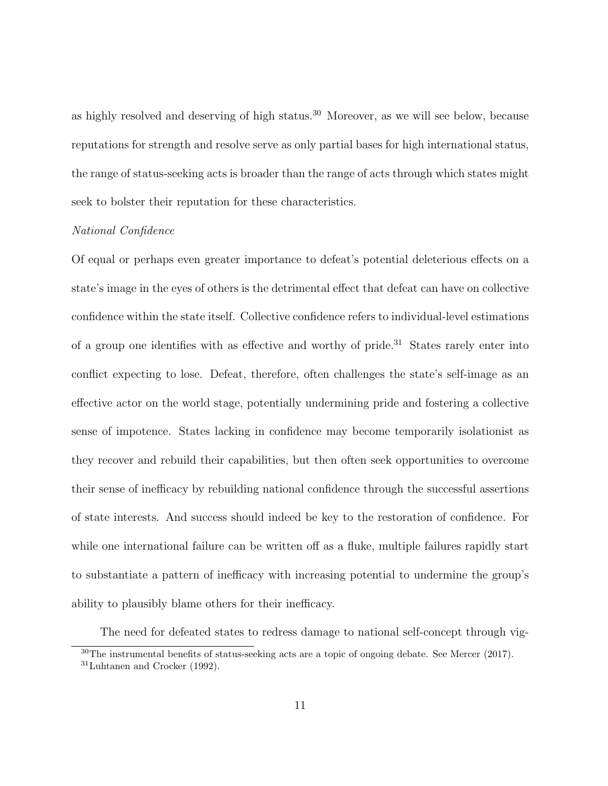as highly resolved and deserving of high status.<sup>30</sup> Moreover, as we will see below, because reputations for strength and resolve serve as only partial bases for high international status, the range of status-seeking acts is broader than the range of acts through which states might seek to bolster their reputation for these characteristics.

### National Confidence

Of equal or perhaps even greater importance to defeat's potential deleterious effects on a state's image in the eyes of others is the detrimental effect that defeat can have on collective confidence within the state itself. Collective confidence refers to individual-level estimations of a group one identifies with as effective and worthy of pride.<sup>31</sup> States rarely enter into conflict expecting to lose. Defeat, therefore, often challenges the state's self-image as an effective actor on the world stage, potentially undermining pride and fostering a collective sense of impotence. States lacking in confidence may become temporarily isolationist as they recover and rebuild their capabilities, but then often seek opportunities to overcome their sense of inefficacy by rebuilding national confidence through the successful assertions of state interests. And success should indeed be key to the restoration of confidence. For while one international failure can be written off as a fluke, multiple failures rapidly start to substantiate a pattern of inefficacy with increasing potential to undermine the group's ability to plausibly blame others for their inefficacy.

The need for defeated states to redress damage to national self-concept through vig-

 $30$ The instrumental benefits of status-seeking acts are a topic of ongoing debate. See Mercer (2017).

<sup>31</sup>Luhtanen and Crocker (1992).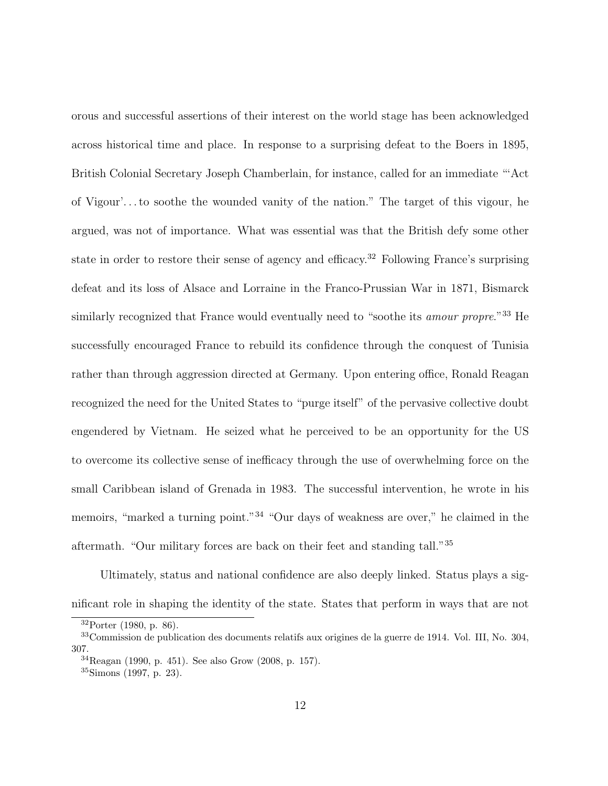orous and successful assertions of their interest on the world stage has been acknowledged across historical time and place. In response to a surprising defeat to the Boers in 1895, British Colonial Secretary Joseph Chamberlain, for instance, called for an immediate "'Act of Vigour'. . . to soothe the wounded vanity of the nation." The target of this vigour, he argued, was not of importance. What was essential was that the British defy some other state in order to restore their sense of agency and efficacy.<sup>32</sup> Following France's surprising defeat and its loss of Alsace and Lorraine in the Franco-Prussian War in 1871, Bismarck similarly recognized that France would eventually need to "soothe its *amour propre*."<sup>33</sup> He successfully encouraged France to rebuild its confidence through the conquest of Tunisia rather than through aggression directed at Germany. Upon entering office, Ronald Reagan recognized the need for the United States to "purge itself" of the pervasive collective doubt engendered by Vietnam. He seized what he perceived to be an opportunity for the US to overcome its collective sense of inefficacy through the use of overwhelming force on the small Caribbean island of Grenada in 1983. The successful intervention, he wrote in his memoirs, "marked a turning point."<sup>34</sup> "Our days of weakness are over," he claimed in the aftermath. "Our military forces are back on their feet and standing tall."<sup>35</sup>

Ultimately, status and national confidence are also deeply linked. Status plays a significant role in shaping the identity of the state. States that perform in ways that are not

<sup>32</sup>Porter (1980, p. 86).

<sup>33</sup>Commission de publication des documents relatifs aux origines de la guerre de 1914. Vol. III, No. 304, 307.

 $34}$ Reagan (1990, p. 451). See also Grow (2008, p. 157).

<sup>35</sup>Simons (1997, p. 23).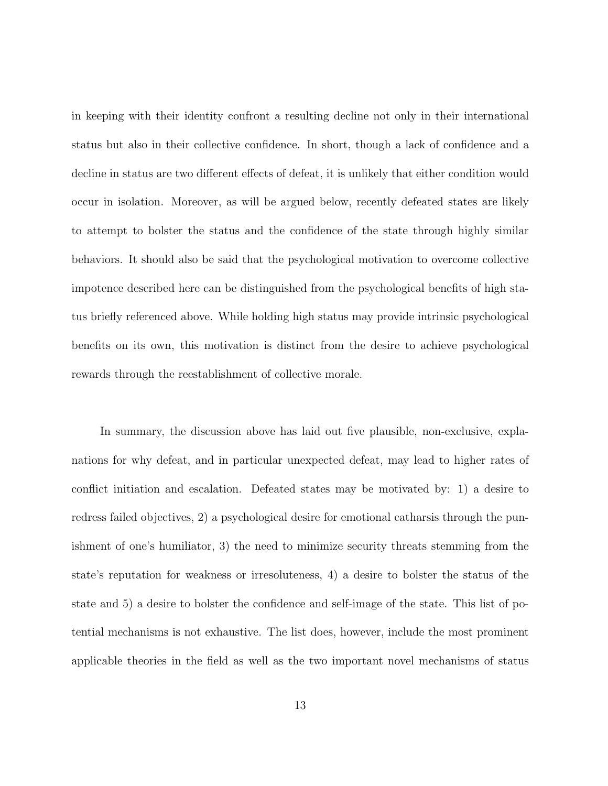in keeping with their identity confront a resulting decline not only in their international status but also in their collective confidence. In short, though a lack of confidence and a decline in status are two different effects of defeat, it is unlikely that either condition would occur in isolation. Moreover, as will be argued below, recently defeated states are likely to attempt to bolster the status and the confidence of the state through highly similar behaviors. It should also be said that the psychological motivation to overcome collective impotence described here can be distinguished from the psychological benefits of high status briefly referenced above. While holding high status may provide intrinsic psychological benefits on its own, this motivation is distinct from the desire to achieve psychological rewards through the reestablishment of collective morale.

In summary, the discussion above has laid out five plausible, non-exclusive, explanations for why defeat, and in particular unexpected defeat, may lead to higher rates of conflict initiation and escalation. Defeated states may be motivated by: 1) a desire to redress failed objectives, 2) a psychological desire for emotional catharsis through the punishment of one's humiliator, 3) the need to minimize security threats stemming from the state's reputation for weakness or irresoluteness, 4) a desire to bolster the status of the state and 5) a desire to bolster the confidence and self-image of the state. This list of potential mechanisms is not exhaustive. The list does, however, include the most prominent applicable theories in the field as well as the two important novel mechanisms of status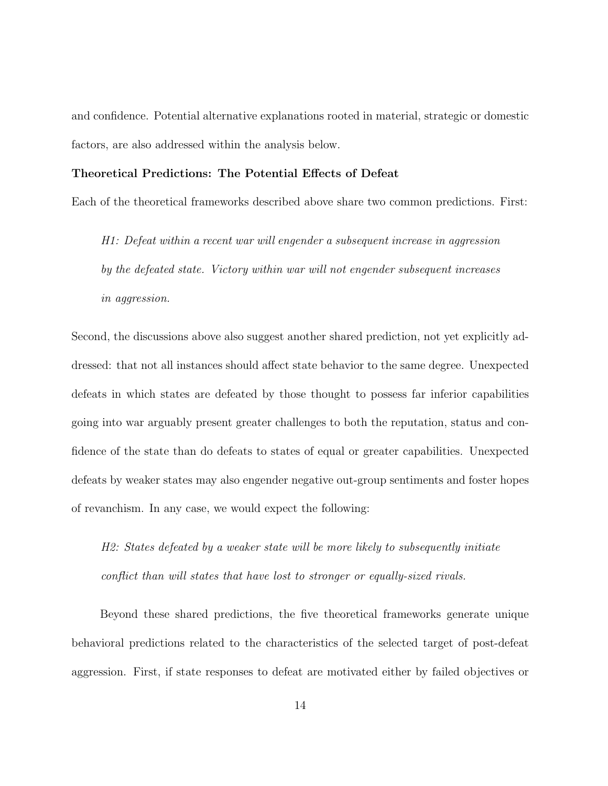and confidence. Potential alternative explanations rooted in material, strategic or domestic factors, are also addressed within the analysis below.

### Theoretical Predictions: The Potential Effects of Defeat

Each of the theoretical frameworks described above share two common predictions. First:

H1: Defeat within a recent war will engender a subsequent increase in aggression by the defeated state. Victory within war will not engender subsequent increases in aggression.

Second, the discussions above also suggest another shared prediction, not yet explicitly addressed: that not all instances should affect state behavior to the same degree. Unexpected defeats in which states are defeated by those thought to possess far inferior capabilities going into war arguably present greater challenges to both the reputation, status and confidence of the state than do defeats to states of equal or greater capabilities. Unexpected defeats by weaker states may also engender negative out-group sentiments and foster hopes of revanchism. In any case, we would expect the following:

H2: States defeated by a weaker state will be more likely to subsequently initiate conflict than will states that have lost to stronger or equally-sized rivals.

Beyond these shared predictions, the five theoretical frameworks generate unique behavioral predictions related to the characteristics of the selected target of post-defeat aggression. First, if state responses to defeat are motivated either by failed objectives or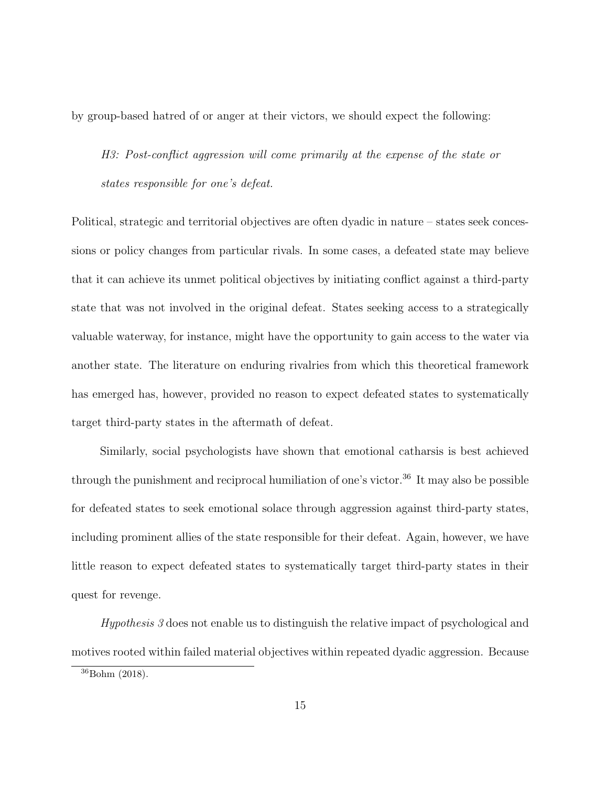by group-based hatred of or anger at their victors, we should expect the following:

H3: Post-conflict aggression will come primarily at the expense of the state or states responsible for one's defeat.

Political, strategic and territorial objectives are often dyadic in nature – states seek concessions or policy changes from particular rivals. In some cases, a defeated state may believe that it can achieve its unmet political objectives by initiating conflict against a third-party state that was not involved in the original defeat. States seeking access to a strategically valuable waterway, for instance, might have the opportunity to gain access to the water via another state. The literature on enduring rivalries from which this theoretical framework has emerged has, however, provided no reason to expect defeated states to systematically target third-party states in the aftermath of defeat.

Similarly, social psychologists have shown that emotional catharsis is best achieved through the punishment and reciprocal humiliation of one's victor.<sup>36</sup> It may also be possible for defeated states to seek emotional solace through aggression against third-party states, including prominent allies of the state responsible for their defeat. Again, however, we have little reason to expect defeated states to systematically target third-party states in their quest for revenge.

Hypothesis 3 does not enable us to distinguish the relative impact of psychological and motives rooted within failed material objectives within repeated dyadic aggression. Because

<sup>36</sup>Bohm (2018).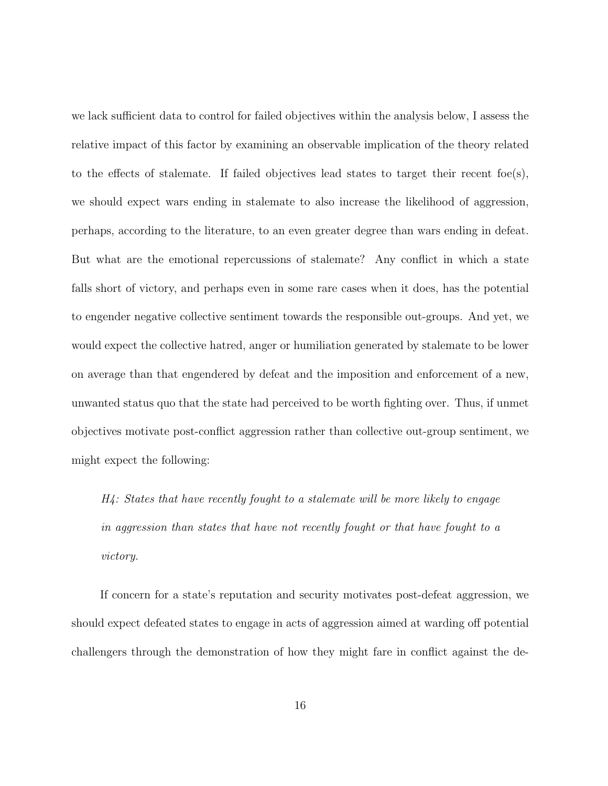we lack sufficient data to control for failed objectives within the analysis below, I assess the relative impact of this factor by examining an observable implication of the theory related to the effects of stalemate. If failed objectives lead states to target their recent foe(s), we should expect wars ending in stalemate to also increase the likelihood of aggression, perhaps, according to the literature, to an even greater degree than wars ending in defeat. But what are the emotional repercussions of stalemate? Any conflict in which a state falls short of victory, and perhaps even in some rare cases when it does, has the potential to engender negative collective sentiment towards the responsible out-groups. And yet, we would expect the collective hatred, anger or humiliation generated by stalemate to be lower on average than that engendered by defeat and the imposition and enforcement of a new, unwanted status quo that the state had perceived to be worth fighting over. Thus, if unmet objectives motivate post-conflict aggression rather than collective out-group sentiment, we might expect the following:

H4: States that have recently fought to a stalemate will be more likely to engage in aggression than states that have not recently fought or that have fought to a victory.

If concern for a state's reputation and security motivates post-defeat aggression, we should expect defeated states to engage in acts of aggression aimed at warding off potential challengers through the demonstration of how they might fare in conflict against the de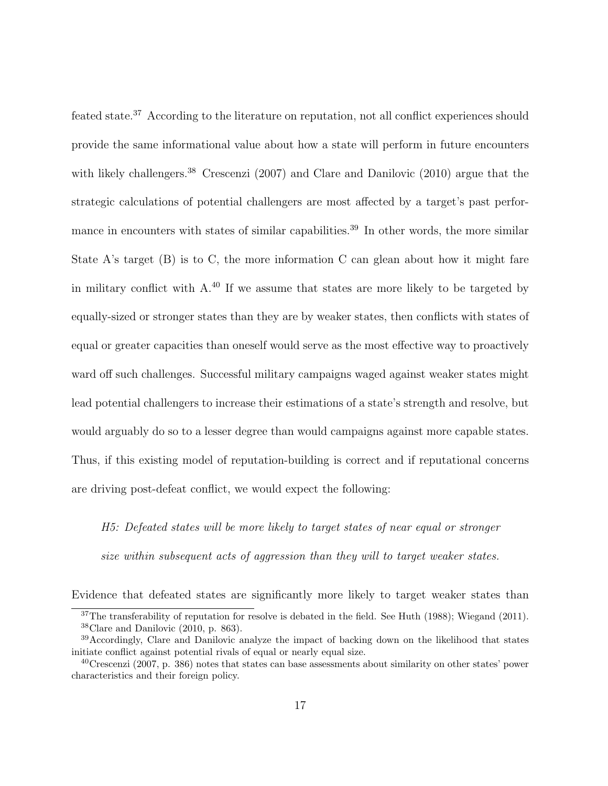feated state.<sup>37</sup> According to the literature on reputation, not all conflict experiences should provide the same informational value about how a state will perform in future encounters with likely challengers.<sup>38</sup> Crescenzi (2007) and Clare and Danilovic (2010) argue that the strategic calculations of potential challengers are most affected by a target's past performance in encounters with states of similar capabilities.<sup>39</sup> In other words, the more similar State A's target  $(B)$  is to C, the more information C can glean about how it might fare in military conflict with A.<sup>40</sup> If we assume that states are more likely to be targeted by equally-sized or stronger states than they are by weaker states, then conflicts with states of equal or greater capacities than oneself would serve as the most effective way to proactively ward off such challenges. Successful military campaigns waged against weaker states might lead potential challengers to increase their estimations of a state's strength and resolve, but would arguably do so to a lesser degree than would campaigns against more capable states. Thus, if this existing model of reputation-building is correct and if reputational concerns are driving post-defeat conflict, we would expect the following:

H5: Defeated states will be more likely to target states of near equal or stronger size within subsequent acts of aggression than they will to target weaker states.

Evidence that defeated states are significantly more likely to target weaker states than

<sup>&</sup>lt;sup>37</sup>The transferability of reputation for resolve is debated in the field. See Huth (1988); Wiegand (2011).  $38$ Clare and Danilovic (2010, p. 863).

<sup>&</sup>lt;sup>39</sup>Accordingly, Clare and Danilovic analyze the impact of backing down on the likelihood that states initiate conflict against potential rivals of equal or nearly equal size.

 $^{40}$ Crescenzi (2007, p. 386) notes that states can base assessments about similarity on other states' power characteristics and their foreign policy.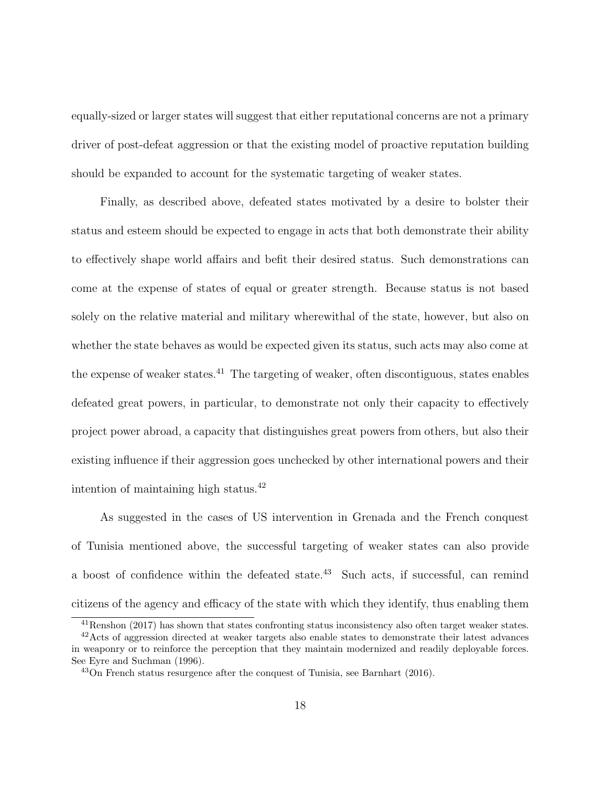equally-sized or larger states will suggest that either reputational concerns are not a primary driver of post-defeat aggression or that the existing model of proactive reputation building should be expanded to account for the systematic targeting of weaker states.

Finally, as described above, defeated states motivated by a desire to bolster their status and esteem should be expected to engage in acts that both demonstrate their ability to effectively shape world affairs and befit their desired status. Such demonstrations can come at the expense of states of equal or greater strength. Because status is not based solely on the relative material and military wherewithal of the state, however, but also on whether the state behaves as would be expected given its status, such acts may also come at the expense of weaker states.<sup>41</sup> The targeting of weaker, often discontiguous, states enables defeated great powers, in particular, to demonstrate not only their capacity to effectively project power abroad, a capacity that distinguishes great powers from others, but also their existing influence if their aggression goes unchecked by other international powers and their intention of maintaining high status.<sup>42</sup>

As suggested in the cases of US intervention in Grenada and the French conquest of Tunisia mentioned above, the successful targeting of weaker states can also provide a boost of confidence within the defeated state.<sup>43</sup> Such acts, if successful, can remind citizens of the agency and efficacy of the state with which they identify, thus enabling them

<sup>41</sup>Renshon (2017) has shown that states confronting status inconsistency also often target weaker states.

<sup>42</sup>Acts of aggression directed at weaker targets also enable states to demonstrate their latest advances in weaponry or to reinforce the perception that they maintain modernized and readily deployable forces. See Eyre and Suchman (1996).

 $^{43}$ On French status resurgence after the conquest of Tunisia, see Barnhart (2016).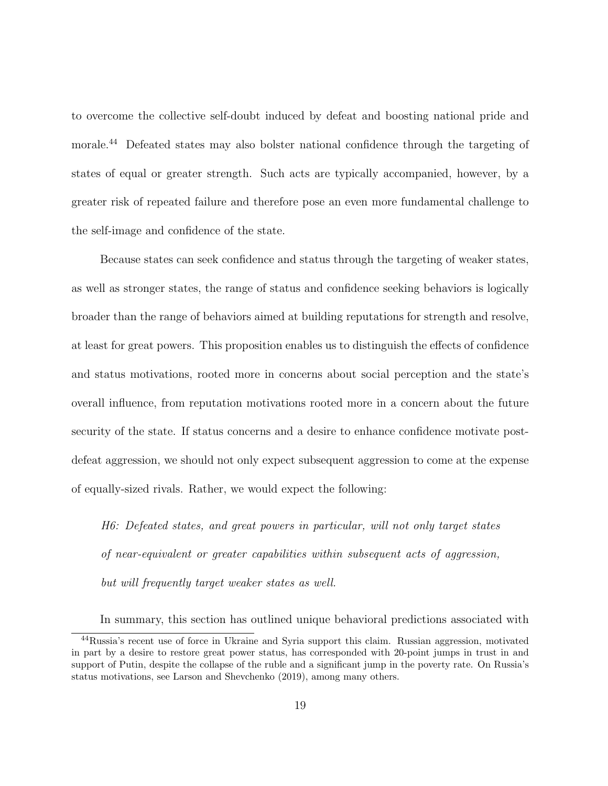to overcome the collective self-doubt induced by defeat and boosting national pride and morale.<sup>44</sup> Defeated states may also bolster national confidence through the targeting of states of equal or greater strength. Such acts are typically accompanied, however, by a greater risk of repeated failure and therefore pose an even more fundamental challenge to the self-image and confidence of the state.

Because states can seek confidence and status through the targeting of weaker states, as well as stronger states, the range of status and confidence seeking behaviors is logically broader than the range of behaviors aimed at building reputations for strength and resolve, at least for great powers. This proposition enables us to distinguish the effects of confidence and status motivations, rooted more in concerns about social perception and the state's overall influence, from reputation motivations rooted more in a concern about the future security of the state. If status concerns and a desire to enhance confidence motivate postdefeat aggression, we should not only expect subsequent aggression to come at the expense of equally-sized rivals. Rather, we would expect the following:

H6: Defeated states, and great powers in particular, will not only target states of near-equivalent or greater capabilities within subsequent acts of aggression, but will frequently target weaker states as well.

In summary, this section has outlined unique behavioral predictions associated with

<sup>44</sup>Russia's recent use of force in Ukraine and Syria support this claim. Russian aggression, motivated in part by a desire to restore great power status, has corresponded with 20-point jumps in trust in and support of Putin, despite the collapse of the ruble and a significant jump in the poverty rate. On Russia's status motivations, see Larson and Shevchenko (2019), among many others.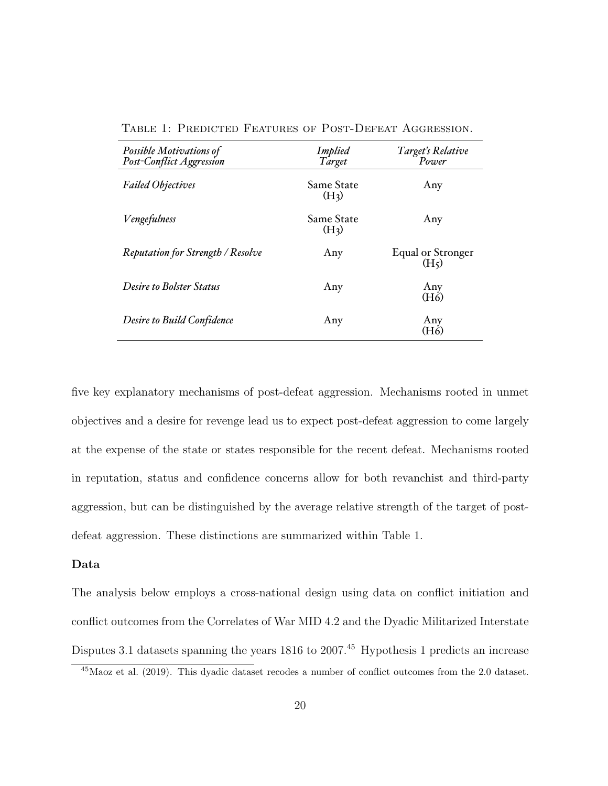| Possible Motivations of<br>Post-Conflict Aggression | <b>Implied</b><br>Target        | Target's Relative<br>Power             |
|-----------------------------------------------------|---------------------------------|----------------------------------------|
| <b>Failed Objectives</b>                            | Same State<br>(H <sub>3</sub> ) | Any                                    |
| <b>Vengefulness</b>                                 | Same State<br>(H <sub>3</sub> ) | Any                                    |
| <b>Reputation for Strength / Resolve</b>            | Any                             | Equal or Stronger<br>(H <sub>5</sub> ) |
| <b>Desire to Bolster Status</b>                     | Any                             | Any<br>$(H\dot{\delta})$               |
| Desire to Build Confidence                          | Any                             | Any<br>(H6)                            |

Table 1: Predicted Features of Post-Defeat Aggression.

five key explanatory mechanisms of post-defeat aggression. Mechanisms rooted in unmet objectives and a desire for revenge lead us to expect post-defeat aggression to come largely at the expense of the state or states responsible for the recent defeat. Mechanisms rooted in reputation, status and confidence concerns allow for both revanchist and third-party aggression, but can be distinguished by the average relative strength of the target of postdefeat aggression. These distinctions are summarized within Table 1.

### Data

The analysis below employs a cross-national design using data on conflict initiation and conflict outcomes from the Correlates of War MID 4.2 and the Dyadic Militarized Interstate Disputes 3.1 datasets spanning the years 1816 to 2007.<sup>45</sup> Hypothesis 1 predicts an increase

<sup>45</sup>Maoz et al. (2019). This dyadic dataset recodes a number of conflict outcomes from the 2.0 dataset.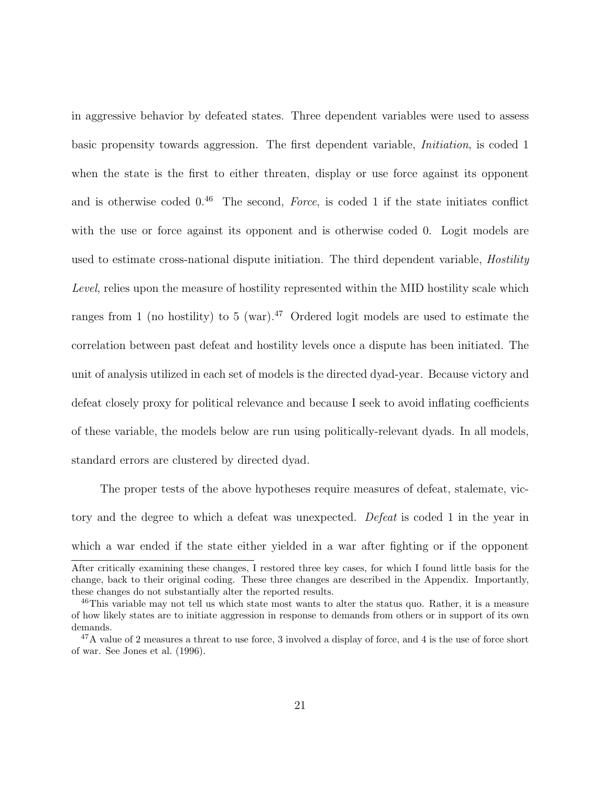in aggressive behavior by defeated states. Three dependent variables were used to assess basic propensity towards aggression. The first dependent variable, Initiation, is coded 1 when the state is the first to either threaten, display or use force against its opponent and is otherwise coded  $0^{46}$  The second, Force, is coded 1 if the state initiates conflict with the use or force against its opponent and is otherwise coded 0. Logit models are used to estimate cross-national dispute initiation. The third dependent variable, *Hostility* Level, relies upon the measure of hostility represented within the MID hostility scale which ranges from 1 (no hostility) to 5 (war).<sup>47</sup> Ordered logit models are used to estimate the correlation between past defeat and hostility levels once a dispute has been initiated. The unit of analysis utilized in each set of models is the directed dyad-year. Because victory and defeat closely proxy for political relevance and because I seek to avoid inflating coefficients of these variable, the models below are run using politically-relevant dyads. In all models, standard errors are clustered by directed dyad.

The proper tests of the above hypotheses require measures of defeat, stalemate, victory and the degree to which a defeat was unexpected. Defeat is coded 1 in the year in which a war ended if the state either yielded in a war after fighting or if the opponent

After critically examining these changes, I restored three key cases, for which I found little basis for the change, back to their original coding. These three changes are described in the Appendix. Importantly, these changes do not substantially alter the reported results.

<sup>&</sup>lt;sup>46</sup>This variable may not tell us which state most wants to alter the status quo. Rather, it is a measure of how likely states are to initiate aggression in response to demands from others or in support of its own demands.

<sup>47</sup>A value of 2 measures a threat to use force, 3 involved a display of force, and 4 is the use of force short of war. See Jones et al. (1996).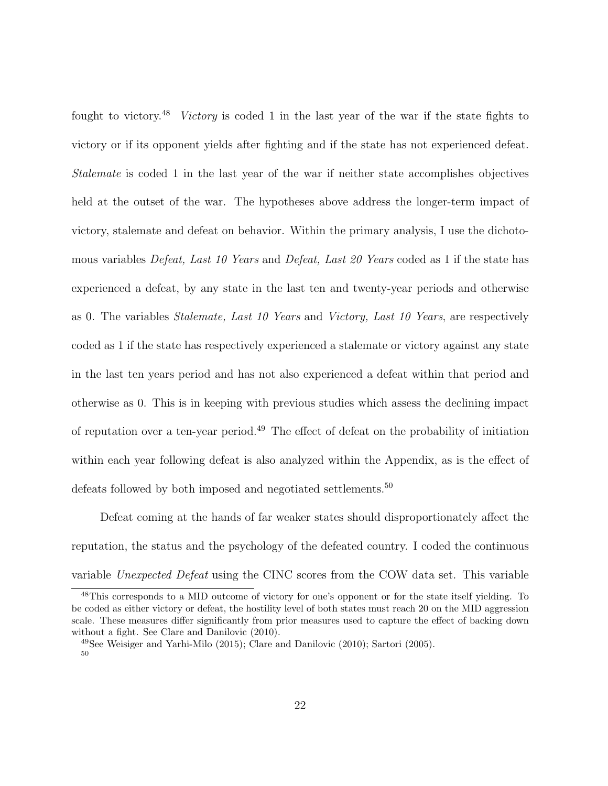fought to victory.<sup>48</sup> Victory is coded 1 in the last year of the war if the state fights to victory or if its opponent yields after fighting and if the state has not experienced defeat. Stalemate is coded 1 in the last year of the war if neither state accomplishes objectives held at the outset of the war. The hypotheses above address the longer-term impact of victory, stalemate and defeat on behavior. Within the primary analysis, I use the dichotomous variables Defeat, Last 10 Years and Defeat, Last 20 Years coded as 1 if the state has experienced a defeat, by any state in the last ten and twenty-year periods and otherwise as 0. The variables Stalemate, Last 10 Years and Victory, Last 10 Years, are respectively coded as 1 if the state has respectively experienced a stalemate or victory against any state in the last ten years period and has not also experienced a defeat within that period and otherwise as 0. This is in keeping with previous studies which assess the declining impact of reputation over a ten-year period.<sup>49</sup> The effect of defeat on the probability of initiation within each year following defeat is also analyzed within the Appendix, as is the effect of defeats followed by both imposed and negotiated settlements.<sup>50</sup>

Defeat coming at the hands of far weaker states should disproportionately affect the reputation, the status and the psychology of the defeated country. I coded the continuous variable Unexpected Defeat using the CINC scores from the COW data set. This variable

<sup>48</sup>This corresponds to a MID outcome of victory for one's opponent or for the state itself yielding. To be coded as either victory or defeat, the hostility level of both states must reach 20 on the MID aggression scale. These measures differ significantly from prior measures used to capture the effect of backing down without a fight. See Clare and Danilovic (2010).

<sup>49</sup>See Weisiger and Yarhi-Milo (2015); Clare and Danilovic (2010); Sartori (2005). 50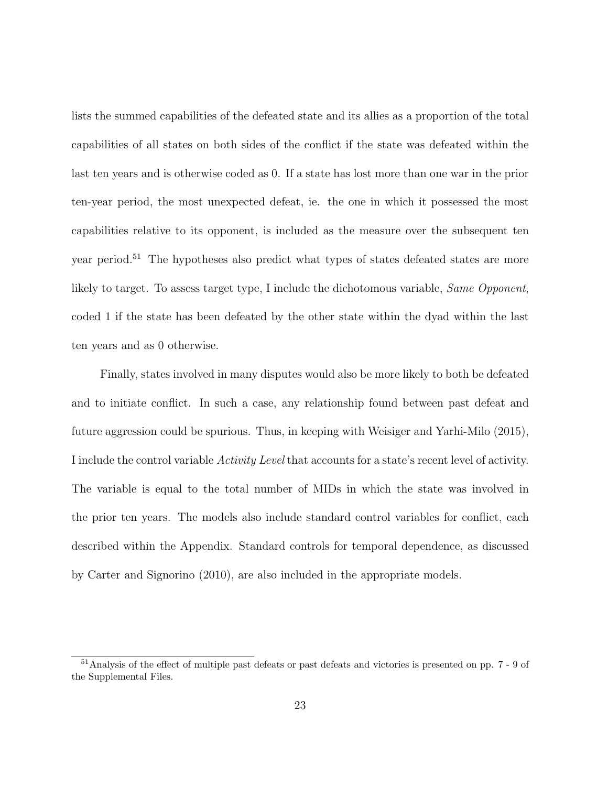lists the summed capabilities of the defeated state and its allies as a proportion of the total capabilities of all states on both sides of the conflict if the state was defeated within the last ten years and is otherwise coded as 0. If a state has lost more than one war in the prior ten-year period, the most unexpected defeat, ie. the one in which it possessed the most capabilities relative to its opponent, is included as the measure over the subsequent ten year period.<sup>51</sup> The hypotheses also predict what types of states defeated states are more likely to target. To assess target type, I include the dichotomous variable, Same Opponent, coded 1 if the state has been defeated by the other state within the dyad within the last ten years and as 0 otherwise.

Finally, states involved in many disputes would also be more likely to both be defeated and to initiate conflict. In such a case, any relationship found between past defeat and future aggression could be spurious. Thus, in keeping with Weisiger and Yarhi-Milo (2015), I include the control variable Activity Level that accounts for a state's recent level of activity. The variable is equal to the total number of MIDs in which the state was involved in the prior ten years. The models also include standard control variables for conflict, each described within the Appendix. Standard controls for temporal dependence, as discussed by Carter and Signorino (2010), are also included in the appropriate models.

<sup>51</sup>Analysis of the effect of multiple past defeats or past defeats and victories is presented on pp. 7 - 9 of the Supplemental Files.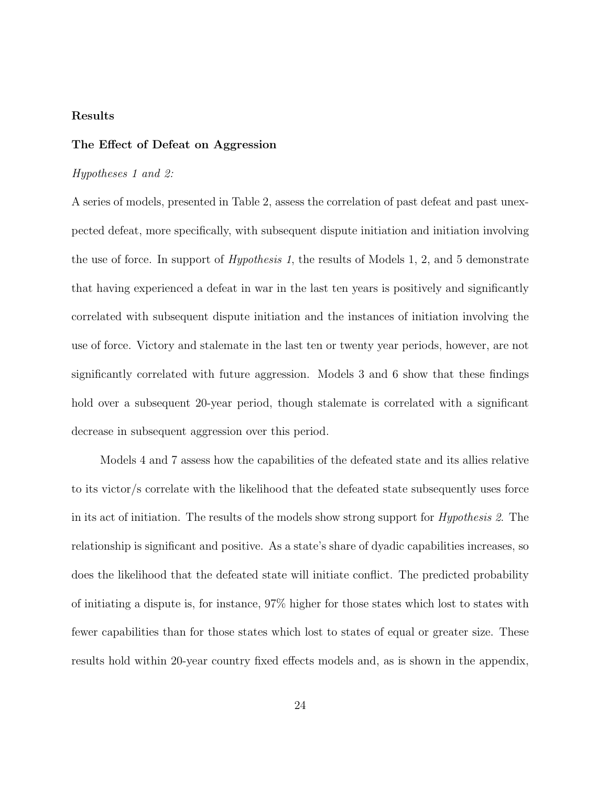### Results

### The Effect of Defeat on Aggression

### Hypotheses 1 and 2:

A series of models, presented in Table 2, assess the correlation of past defeat and past unexpected defeat, more specifically, with subsequent dispute initiation and initiation involving the use of force. In support of Hypothesis 1, the results of Models 1, 2, and 5 demonstrate that having experienced a defeat in war in the last ten years is positively and significantly correlated with subsequent dispute initiation and the instances of initiation involving the use of force. Victory and stalemate in the last ten or twenty year periods, however, are not significantly correlated with future aggression. Models 3 and 6 show that these findings hold over a subsequent 20-year period, though stalemate is correlated with a significant decrease in subsequent aggression over this period.

Models 4 and 7 assess how the capabilities of the defeated state and its allies relative to its victor/s correlate with the likelihood that the defeated state subsequently uses force in its act of initiation. The results of the models show strong support for *Hypothesis 2*. The relationship is significant and positive. As a state's share of dyadic capabilities increases, so does the likelihood that the defeated state will initiate conflict. The predicted probability of initiating a dispute is, for instance, 97% higher for those states which lost to states with fewer capabilities than for those states which lost to states of equal or greater size. These results hold within 20-year country fixed effects models and, as is shown in the appendix,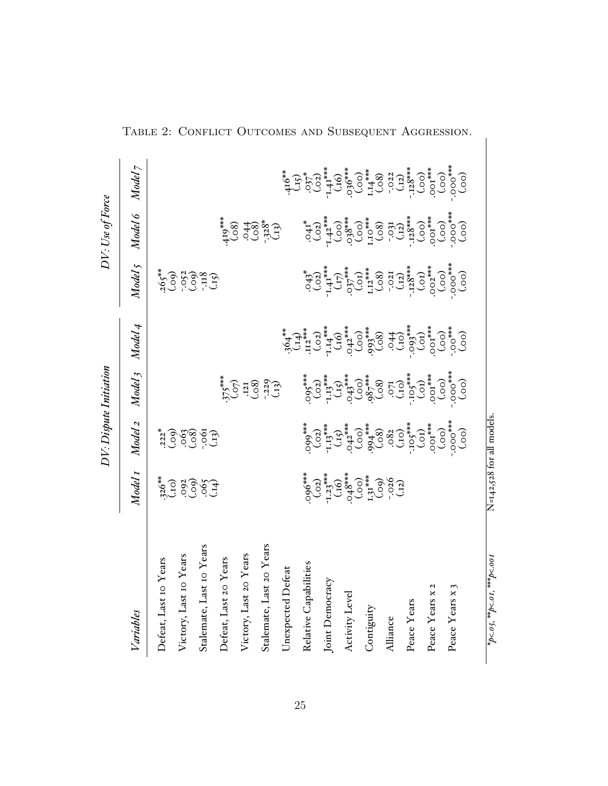|                            |                                                                                                                                          | DV: Dispute Initiation |                                                          |         |                                                                                                                                                                                                                                                                                                                                                                                                                                                                                           | DV: Use of Force                                                                                                                                                                                                                                                                                                                                |                                                                                                                                                                                                                                                                                                                                                                                                                                                                                                                                                |
|----------------------------|------------------------------------------------------------------------------------------------------------------------------------------|------------------------|----------------------------------------------------------|---------|-------------------------------------------------------------------------------------------------------------------------------------------------------------------------------------------------------------------------------------------------------------------------------------------------------------------------------------------------------------------------------------------------------------------------------------------------------------------------------------------|-------------------------------------------------------------------------------------------------------------------------------------------------------------------------------------------------------------------------------------------------------------------------------------------------------------------------------------------------|------------------------------------------------------------------------------------------------------------------------------------------------------------------------------------------------------------------------------------------------------------------------------------------------------------------------------------------------------------------------------------------------------------------------------------------------------------------------------------------------------------------------------------------------|
| Variables                  | Model 1                                                                                                                                  | Model 2                | Model <sub>3</sub>                                       | Model 4 | Model 5                                                                                                                                                                                                                                                                                                                                                                                                                                                                                   | Model 6                                                                                                                                                                                                                                                                                                                                         | Model 7                                                                                                                                                                                                                                                                                                                                                                                                                                                                                                                                        |
| Defeat, Last 10 Years      | (5, 25)                                                                                                                                  |                        |                                                          |         |                                                                                                                                                                                                                                                                                                                                                                                                                                                                                           |                                                                                                                                                                                                                                                                                                                                                 |                                                                                                                                                                                                                                                                                                                                                                                                                                                                                                                                                |
| Victory, Last 10 Years     |                                                                                                                                          |                        |                                                          |         | $265$ <sup>**</sup><br>(.00)<br>(.00)<br>(.118<br>(.15)                                                                                                                                                                                                                                                                                                                                                                                                                                   |                                                                                                                                                                                                                                                                                                                                                 |                                                                                                                                                                                                                                                                                                                                                                                                                                                                                                                                                |
| Stalemate, Last 10 Years   | 83699                                                                                                                                    |                        |                                                          |         |                                                                                                                                                                                                                                                                                                                                                                                                                                                                                           |                                                                                                                                                                                                                                                                                                                                                 |                                                                                                                                                                                                                                                                                                                                                                                                                                                                                                                                                |
| Defeat, Last 20 Years      |                                                                                                                                          |                        |                                                          |         |                                                                                                                                                                                                                                                                                                                                                                                                                                                                                           |                                                                                                                                                                                                                                                                                                                                                 |                                                                                                                                                                                                                                                                                                                                                                                                                                                                                                                                                |
| Victory, Last 20 Years     |                                                                                                                                          |                        | $375$<br>***<br>$(.57)$<br>$(.37)$<br>$(.32)$<br>$(.32)$ |         |                                                                                                                                                                                                                                                                                                                                                                                                                                                                                           |                                                                                                                                                                                                                                                                                                                                                 |                                                                                                                                                                                                                                                                                                                                                                                                                                                                                                                                                |
| Stalemate, Last 20 Years   |                                                                                                                                          |                        |                                                          |         |                                                                                                                                                                                                                                                                                                                                                                                                                                                                                           |                                                                                                                                                                                                                                                                                                                                                 |                                                                                                                                                                                                                                                                                                                                                                                                                                                                                                                                                |
| Unexpected Defeat          |                                                                                                                                          |                        |                                                          |         |                                                                                                                                                                                                                                                                                                                                                                                                                                                                                           |                                                                                                                                                                                                                                                                                                                                                 |                                                                                                                                                                                                                                                                                                                                                                                                                                                                                                                                                |
| Relative Capabilities      |                                                                                                                                          |                        |                                                          |         |                                                                                                                                                                                                                                                                                                                                                                                                                                                                                           |                                                                                                                                                                                                                                                                                                                                                 |                                                                                                                                                                                                                                                                                                                                                                                                                                                                                                                                                |
| Joint Democracy            | $696$ ***<br>$1.23$ ***<br>$1.33$ ***<br>$1.33$ ***<br>$1.33$ ***<br>$1.33$ ***<br>$1.33$ ***<br>$1.33$ ***<br>$1.33$ ***<br>$1.33$ **** |                        |                                                          |         |                                                                                                                                                                                                                                                                                                                                                                                                                                                                                           |                                                                                                                                                                                                                                                                                                                                                 |                                                                                                                                                                                                                                                                                                                                                                                                                                                                                                                                                |
| Activity Level             |                                                                                                                                          |                        |                                                          |         |                                                                                                                                                                                                                                                                                                                                                                                                                                                                                           |                                                                                                                                                                                                                                                                                                                                                 |                                                                                                                                                                                                                                                                                                                                                                                                                                                                                                                                                |
| Contiguity                 |                                                                                                                                          |                        |                                                          |         |                                                                                                                                                                                                                                                                                                                                                                                                                                                                                           |                                                                                                                                                                                                                                                                                                                                                 |                                                                                                                                                                                                                                                                                                                                                                                                                                                                                                                                                |
| Alliance                   |                                                                                                                                          |                        |                                                          |         |                                                                                                                                                                                                                                                                                                                                                                                                                                                                                           |                                                                                                                                                                                                                                                                                                                                                 |                                                                                                                                                                                                                                                                                                                                                                                                                                                                                                                                                |
| Peace Years                |                                                                                                                                          |                        |                                                          |         |                                                                                                                                                                                                                                                                                                                                                                                                                                                                                           |                                                                                                                                                                                                                                                                                                                                                 |                                                                                                                                                                                                                                                                                                                                                                                                                                                                                                                                                |
| N<br>Peace Years x         |                                                                                                                                          |                        |                                                          |         |                                                                                                                                                                                                                                                                                                                                                                                                                                                                                           |                                                                                                                                                                                                                                                                                                                                                 |                                                                                                                                                                                                                                                                                                                                                                                                                                                                                                                                                |
| Peace Years x              |                                                                                                                                          |                        |                                                          |         | $\begin{array}{c} \left( \begin{array}{c} 1 \\ 1 \\ 0 \\ 0 \end{array} \right) \\ \left( \begin{array}{c} 1 \\ 1 \\ 0 \\ 0 \end{array} \right) \\ \left( \begin{array}{c} 1 \\ 1 \\ 0 \\ 0 \end{array} \right) \\ \left( \begin{array}{c} 1 \\ 1 \\ 0 \\ 0 \end{array} \right) \\ \left( \begin{array}{c} 1 \\ 1 \\ 0 \\ 0 \end{array} \right) \\ \left( \begin{array}{c} 1 \\ 1 \\ 0 \\ 0 \end{array} \right) \\ \left( \begin{array}{c} 1 \\ 1 \\ 0 \\ 0 \end{array} \right) \\ \left($ | $\begin{array}{l} \left( \begin{matrix} 0 & 0 & 0 \\ 0 & 0 & 0 \\ 0 & 0 & 0 \\ 0 & 0 & 0 \\ 0 & 0 & 0 \\ 0 & 0 & 0 \\ 0 & 0 & 0 \\ 0 & 0 & 0 \\ 0 & 0 & 0 \\ 0 & 0 & 0 \\ 0 & 0 & 0 \\ 0 & 0 & 0 \\ 0 & 0 & 0 \\ 0 & 0 & 0 \\ 0 & 0 & 0 \\ 0 & 0 & 0 \\ 0 & 0 & 0 \\ 0 & 0 & 0 \\ 0 & 0 & 0 \\ 0 & 0 & 0 \\ 0 & 0 & 0 \\ 0 & 0 & 0 \\ 0 & 0 & $ | $\begin{array}{l} \mathbf{\ddot{q}_{\bullet}} \\ \mathbf{\ddot{q}_{\bullet}} \\ \mathbf{\ddot{q}_{\bullet}} \\ \mathbf{\ddot{q}_{\bullet}} \\ \mathbf{\ddot{q}_{\bullet}} \\ \mathbf{\ddot{q}_{\bullet}} \\ \mathbf{\ddot{q}_{\bullet}} \\ \mathbf{\ddot{q}_{\bullet}} \\ \mathbf{\ddot{q}_{\bullet}} \\ \mathbf{\ddot{q}_{\bullet}} \\ \mathbf{\ddot{q}_{\bullet}} \\ \mathbf{\ddot{q}_{\bullet}} \\ \mathbf{\ddot{q}_{\bullet}} \\ \mathbf{\ddot{q}_{\bullet}} \\ \mathbf{\ddot{q}_{\bullet}} \\ \mathbf{\ddot{q}_{\bullet}} \\ \mathbf{\dd$ |
| *p<.05, **p<.01, ***p<.001 | N=142,528 for all models                                                                                                                 |                        |                                                          |         |                                                                                                                                                                                                                                                                                                                                                                                                                                                                                           |                                                                                                                                                                                                                                                                                                                                                 |                                                                                                                                                                                                                                                                                                                                                                                                                                                                                                                                                |

Table 2: Conflict Outcomes and Subsequent Aggression.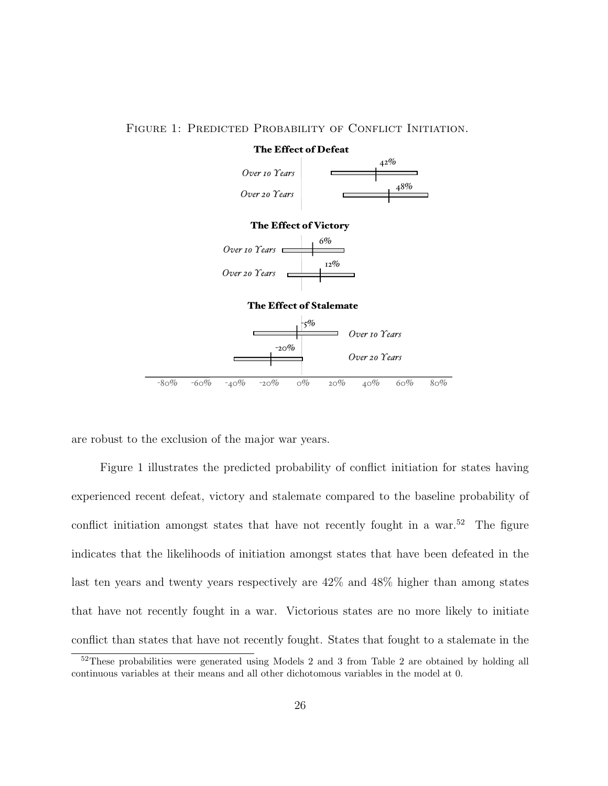

FIGURE 1: PREDICTED PROBABILITY OF CONFLICT INITIATION.

are robust to the exclusion of the major war years.

Figure 1 illustrates the predicted probability of conflict initiation for states having experienced recent defeat, victory and stalemate compared to the baseline probability of conflict initiation amongst states that have not recently fought in a war.<sup>52</sup> The figure indicates that the likelihoods of initiation amongst states that have been defeated in the last ten years and twenty years respectively are 42% and 48% higher than among states that have not recently fought in a war. Victorious states are no more likely to initiate conflict than states that have not recently fought. States that fought to a stalemate in the

<sup>52</sup>These probabilities were generated using Models 2 and 3 from Table 2 are obtained by holding all continuous variables at their means and all other dichotomous variables in the model at 0.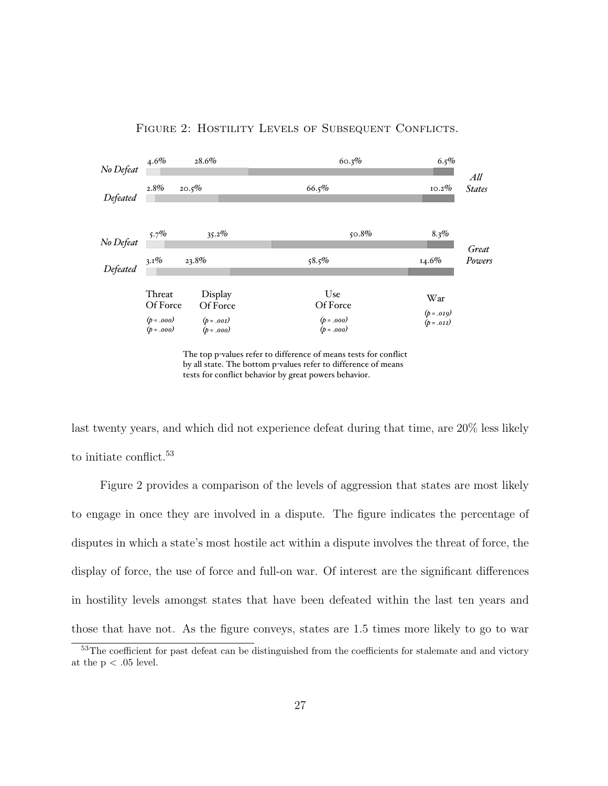

FIGURE 2: HOSTILITY LEVELS OF SUBSEQUENT CONFLICTS.

The top p-values refer to difference of means tests for conflict by all state. The bottom p-values refer to difference of means tests for conflict behavior by great powers behavior.

last twenty years, and which did not experience defeat during that time, are  $20\%$  less likely to initiate conflict.<sup>53</sup>

Figure 2 provides a comparison of the levels of aggression that states are most likely to engage in once they are involved in a dispute. The figure indicates the percentage of disputes in which a state's most hostile act within a dispute involves the threat of force, the display of force, the use of force and full-on war. Of interest are the significant differences in hostility levels amongst states that have been defeated within the last ten years and those that have not. As the figure conveys, states are 1.5 times more likely to go to war

<sup>53</sup>The coefficient for past defeat can be distinguished from the coefficients for stalemate and and victory at the  $p < .05$  level.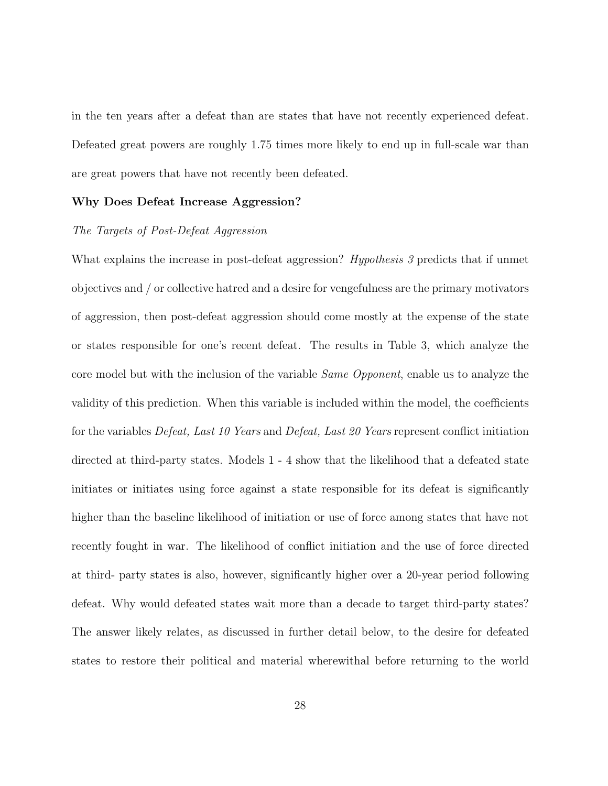in the ten years after a defeat than are states that have not recently experienced defeat. Defeated great powers are roughly 1.75 times more likely to end up in full-scale war than are great powers that have not recently been defeated.

### Why Does Defeat Increase Aggression?

### The Targets of Post-Defeat Aggression

What explains the increase in post-defeat aggression? *Hypothesis 3* predicts that if unmet objectives and / or collective hatred and a desire for vengefulness are the primary motivators of aggression, then post-defeat aggression should come mostly at the expense of the state or states responsible for one's recent defeat. The results in Table 3, which analyze the core model but with the inclusion of the variable Same Opponent, enable us to analyze the validity of this prediction. When this variable is included within the model, the coefficients for the variables Defeat, Last 10 Years and Defeat, Last 20 Years represent conflict initiation directed at third-party states. Models 1 - 4 show that the likelihood that a defeated state initiates or initiates using force against a state responsible for its defeat is significantly higher than the baseline likelihood of initiation or use of force among states that have not recently fought in war. The likelihood of conflict initiation and the use of force directed at third- party states is also, however, significantly higher over a 20-year period following defeat. Why would defeated states wait more than a decade to target third-party states? The answer likely relates, as discussed in further detail below, to the desire for defeated states to restore their political and material wherewithal before returning to the world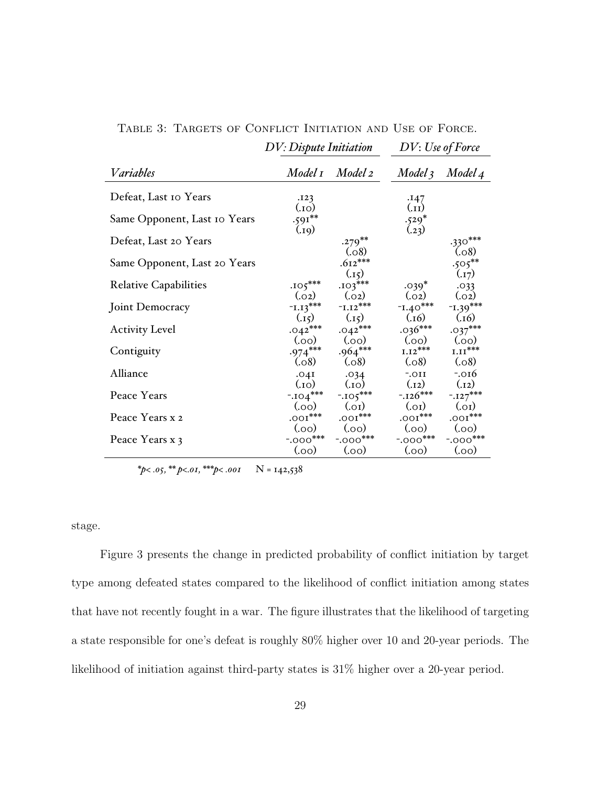|                              | DV: Dispute Initiation       |                    | DV: Use of Force        |                     |
|------------------------------|------------------------------|--------------------|-------------------------|---------------------|
| Variables                    |                              | Model 1 Model 2    | Model 3                 | Model 4             |
| Defeat, Last 10 Years        | .123<br>$_{\rm (10)}$        |                    | .147<br>$\binom{11}{1}$ |                     |
| Same Opponent, Last 10 Years | $.591***$<br>(0.19)          |                    | $.529*$<br>(.23)        |                     |
| Defeat, Last 20 Years        |                              | $.279***$<br>(.08) |                         | $.330***$<br>(.08)  |
| Same Opponent, Last 20 Years |                              | $.612***$<br>(.15) |                         | $.505***$<br>(.17)  |
| <b>Relative Capabilities</b> | $.105***$<br>(.02)           | $.103***$<br>(.02) | $.039*$<br>(.02)        | .033<br>(.02)       |
| Joint Democracy              | $-L13***$                    | $-L.12***$         | $-1.40***$<br>(.16)     | $1.39***$<br>(.16)  |
| <b>Activity Level</b>        | $(j_{15})$<br>$.042***$      | (.15)<br>$.042***$ | $.036***$               | $.037***$           |
| Contiguity                   | (00)<br>$.974***$            | (00)<br>$.964***$  | (00)<br>$1.12^{***}$    | (00)<br>$1.11***$   |
| Alliance                     | (.08)<br>.04I                | (.08)<br>.034      | (.08)<br>$-.011$        | (.08)<br>$-.016$    |
| Peace Years                  | $_{\rm (O1.)}$<br>$-.104***$ | (01)<br>$-105***$  | (.12)<br>$-.126***$     | (.12)<br>$-.127***$ |
| Peace Years x 2              | (00)<br>$.001***$            | (0.0)<br>$.001***$ | (0.0)<br>$.001***$      | (0.01)<br>$.001***$ |
| Peace Years x 3              | (00)<br>$-.000$ ***          | (00)<br>$-.000***$ | (00)<br>$-.000$ ***     | (00)<br>$-.000***$  |
|                              | (00)                         | (0.0)              | (00)                    | (0.00)              |

Table 3: Targets of Conflict Initiation and Use of Force.

*\*p< .05, \*\* p<.01, \*\*\*p< .001* N = 142,538

stage.

Figure 3 presents the change in predicted probability of conflict initiation by target type among defeated states compared to the likelihood of conflict initiation among states that have not recently fought in a war. The figure illustrates that the likelihood of targeting a state responsible for one's defeat is roughly 80% higher over 10 and 20-year periods. The likelihood of initiation against third-party states is 31% higher over a 20-year period.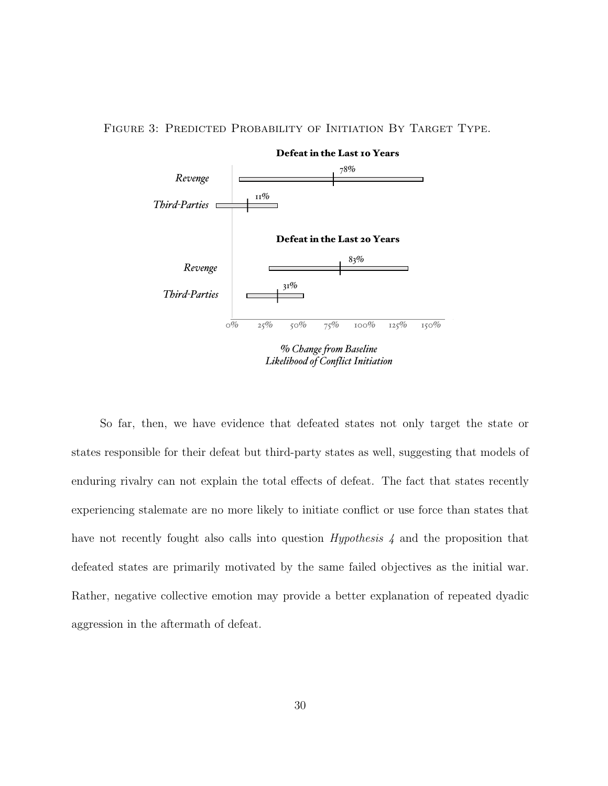

FIGURE 3: PREDICTED PROBABILITY OF INITIATION BY TARGET TYPE.

*Likelihood of Conflict Initiation*

So far, then, we have evidence that defeated states not only target the state or states responsible for their defeat but third-party states as well, suggesting that models of enduring rivalry can not explain the total effects of defeat. The fact that states recently experiencing stalemate are no more likely to initiate conflict or use force than states that have not recently fought also calls into question *Hypothesis* 4 and the proposition that defeated states are primarily motivated by the same failed objectives as the initial war. Rather, negative collective emotion may provide a better explanation of repeated dyadic aggression in the aftermath of defeat.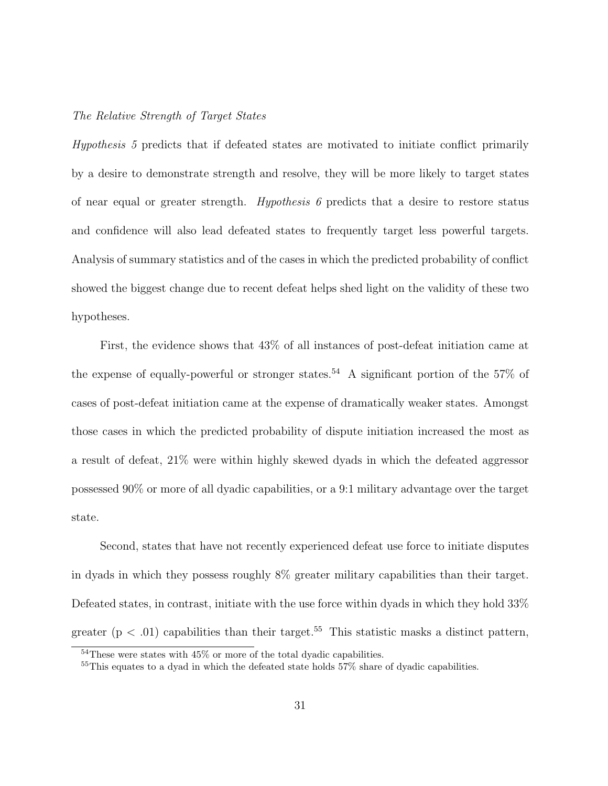### The Relative Strength of Target States

Hypothesis 5 predicts that if defeated states are motivated to initiate conflict primarily by a desire to demonstrate strength and resolve, they will be more likely to target states of near equal or greater strength. Hypothesis  $\theta$  predicts that a desire to restore status and confidence will also lead defeated states to frequently target less powerful targets. Analysis of summary statistics and of the cases in which the predicted probability of conflict showed the biggest change due to recent defeat helps shed light on the validity of these two hypotheses.

First, the evidence shows that 43% of all instances of post-defeat initiation came at the expense of equally-powerful or stronger states.<sup>54</sup> A significant portion of the 57% of cases of post-defeat initiation came at the expense of dramatically weaker states. Amongst those cases in which the predicted probability of dispute initiation increased the most as a result of defeat, 21% were within highly skewed dyads in which the defeated aggressor possessed 90% or more of all dyadic capabilities, or a 9:1 military advantage over the target state.

Second, states that have not recently experienced defeat use force to initiate disputes in dyads in which they possess roughly 8% greater military capabilities than their target. Defeated states, in contrast, initiate with the use force within dyads in which they hold 33% greater ( $p < .01$ ) capabilities than their target.<sup>55</sup> This statistic masks a distinct pattern,

 $54$ These were states with  $45\%$  or more of the total dyadic capabilities.

<sup>&</sup>lt;sup>55</sup>This equates to a dyad in which the defeated state holds 57% share of dyadic capabilities.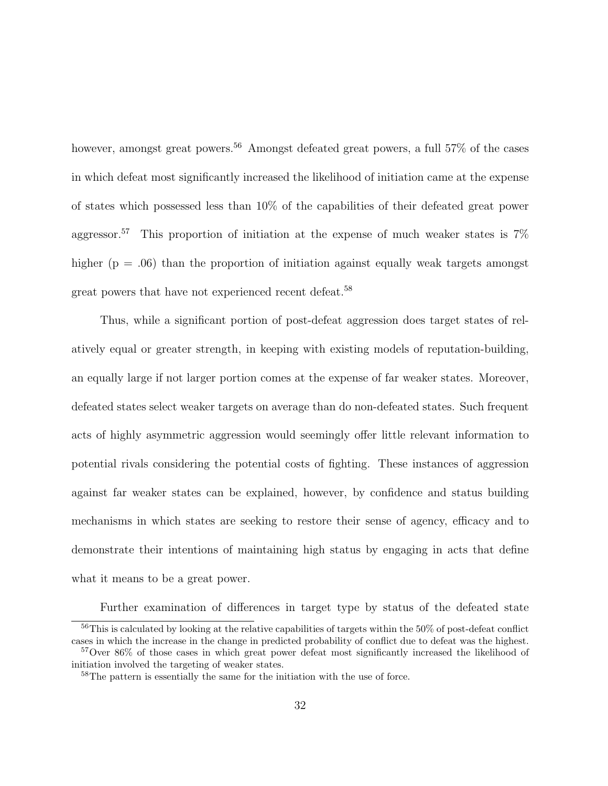however, amongst great powers.<sup>56</sup> Amongst defeated great powers, a full 57% of the cases in which defeat most significantly increased the likelihood of initiation came at the expense of states which possessed less than 10% of the capabilities of their defeated great power aggressor.<sup>57</sup> This proportion of initiation at the expense of much weaker states is  $7\%$ higher ( $p = .06$ ) than the proportion of initiation against equally weak targets amongst great powers that have not experienced recent defeat.<sup>58</sup>

Thus, while a significant portion of post-defeat aggression does target states of relatively equal or greater strength, in keeping with existing models of reputation-building, an equally large if not larger portion comes at the expense of far weaker states. Moreover, defeated states select weaker targets on average than do non-defeated states. Such frequent acts of highly asymmetric aggression would seemingly offer little relevant information to potential rivals considering the potential costs of fighting. These instances of aggression against far weaker states can be explained, however, by confidence and status building mechanisms in which states are seeking to restore their sense of agency, efficacy and to demonstrate their intentions of maintaining high status by engaging in acts that define what it means to be a great power.

Further examination of differences in target type by status of the defeated state

 $56$ This is calculated by looking at the relative capabilities of targets within the  $50\%$  of post-defeat conflict cases in which the increase in the change in predicted probability of conflict due to defeat was the highest.

<sup>&</sup>lt;sup>57</sup>Over 86% of those cases in which great power defeat most significantly increased the likelihood of initiation involved the targeting of weaker states.

<sup>58</sup>The pattern is essentially the same for the initiation with the use of force.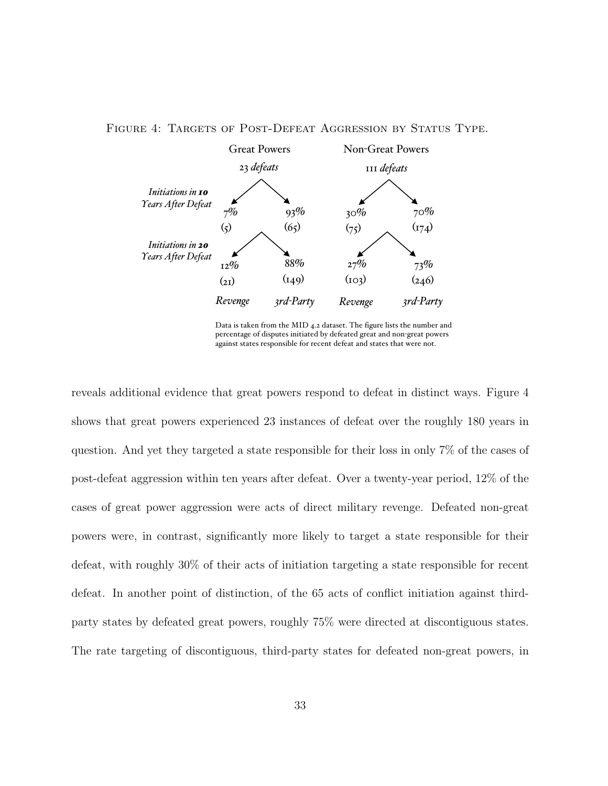

## FIGURE 4: TARGETS OF POST-DEFEAT AGGRESSION BY STATUS TYPE.

Data is taken from the MID 4.2 dataset. The figure lists the number and percentage of disputes initiated by defeated great and non-great powers against states responsible for recent defeat and states that were not.

shows that great powers experienced 23 instances of defeat over the roughly 180 years in question. And yet they targeted a state responsible for their loss in only 7% of the cases of 66 revenge for nonmajor post-defeat aggression within ten years after defeat. Over a twenty-year period, 12% of the reveals additional evidence that great powers respond to defeat in distinct ways. Figure 4 cases of great power aggression were acts of direct military revenge. Defeated non-great powers were, in contrast, significantly more likely to target a state responsible for their defeat, with roughly 30% of their acts of initiation targeting a state responsible for recent defeat. In another point of distinction, of the 65 acts of conflict initiation against thirdparty states by defeated great powers, roughly 75% were directed at discontiguous states. The rate targeting of discontiguous, third-party states for defeated non-great powers, in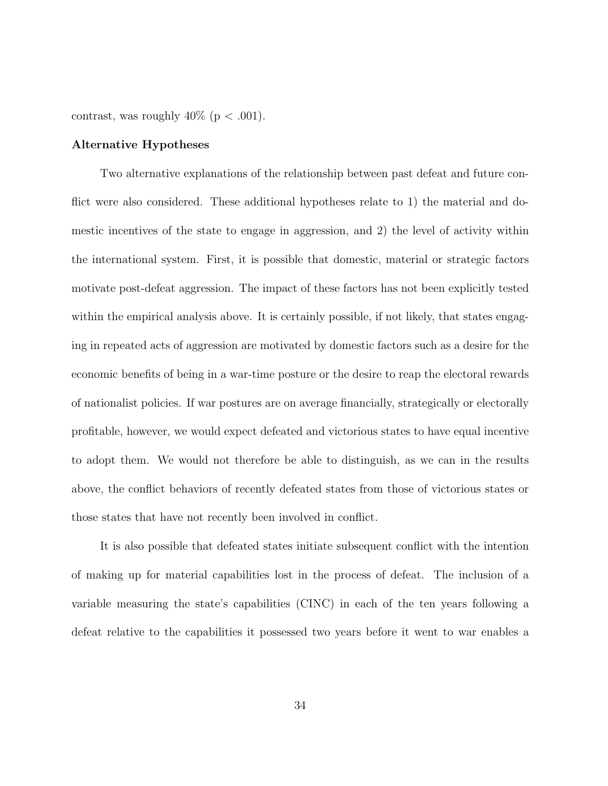contrast, was roughly  $40\%$  (p < .001).

### Alternative Hypotheses

Two alternative explanations of the relationship between past defeat and future conflict were also considered. These additional hypotheses relate to 1) the material and domestic incentives of the state to engage in aggression, and 2) the level of activity within the international system. First, it is possible that domestic, material or strategic factors motivate post-defeat aggression. The impact of these factors has not been explicitly tested within the empirical analysis above. It is certainly possible, if not likely, that states engaging in repeated acts of aggression are motivated by domestic factors such as a desire for the economic benefits of being in a war-time posture or the desire to reap the electoral rewards of nationalist policies. If war postures are on average financially, strategically or electorally profitable, however, we would expect defeated and victorious states to have equal incentive to adopt them. We would not therefore be able to distinguish, as we can in the results above, the conflict behaviors of recently defeated states from those of victorious states or those states that have not recently been involved in conflict.

It is also possible that defeated states initiate subsequent conflict with the intention of making up for material capabilities lost in the process of defeat. The inclusion of a variable measuring the state's capabilities (CINC) in each of the ten years following a defeat relative to the capabilities it possessed two years before it went to war enables a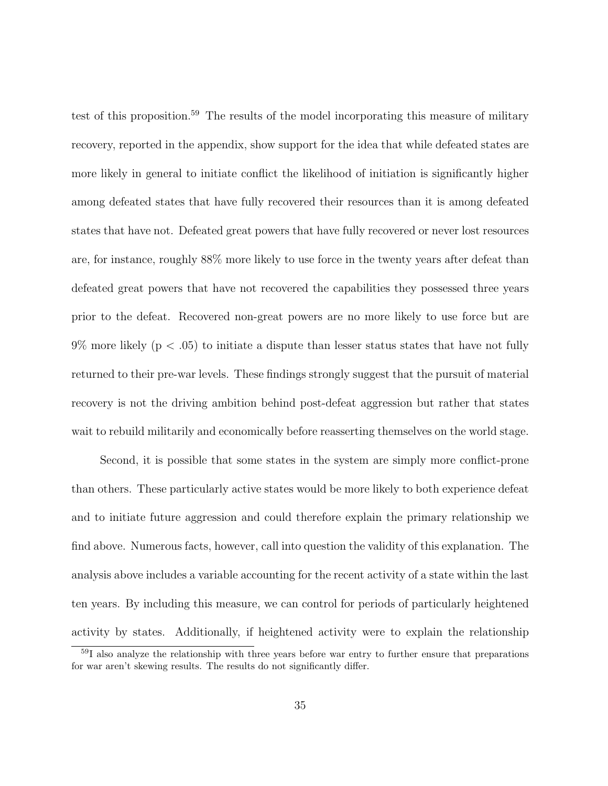test of this proposition.<sup>59</sup> The results of the model incorporating this measure of military recovery, reported in the appendix, show support for the idea that while defeated states are more likely in general to initiate conflict the likelihood of initiation is significantly higher among defeated states that have fully recovered their resources than it is among defeated states that have not. Defeated great powers that have fully recovered or never lost resources are, for instance, roughly 88% more likely to use force in the twenty years after defeat than defeated great powers that have not recovered the capabilities they possessed three years prior to the defeat. Recovered non-great powers are no more likely to use force but are  $9\%$  more likely ( $p < .05$ ) to initiate a dispute than lesser status states that have not fully returned to their pre-war levels. These findings strongly suggest that the pursuit of material recovery is not the driving ambition behind post-defeat aggression but rather that states wait to rebuild militarily and economically before reasserting themselves on the world stage.

Second, it is possible that some states in the system are simply more conflict-prone than others. These particularly active states would be more likely to both experience defeat and to initiate future aggression and could therefore explain the primary relationship we find above. Numerous facts, however, call into question the validity of this explanation. The analysis above includes a variable accounting for the recent activity of a state within the last ten years. By including this measure, we can control for periods of particularly heightened activity by states. Additionally, if heightened activity were to explain the relationship

<sup>59</sup>I also analyze the relationship with three years before war entry to further ensure that preparations for war aren't skewing results. The results do not significantly differ.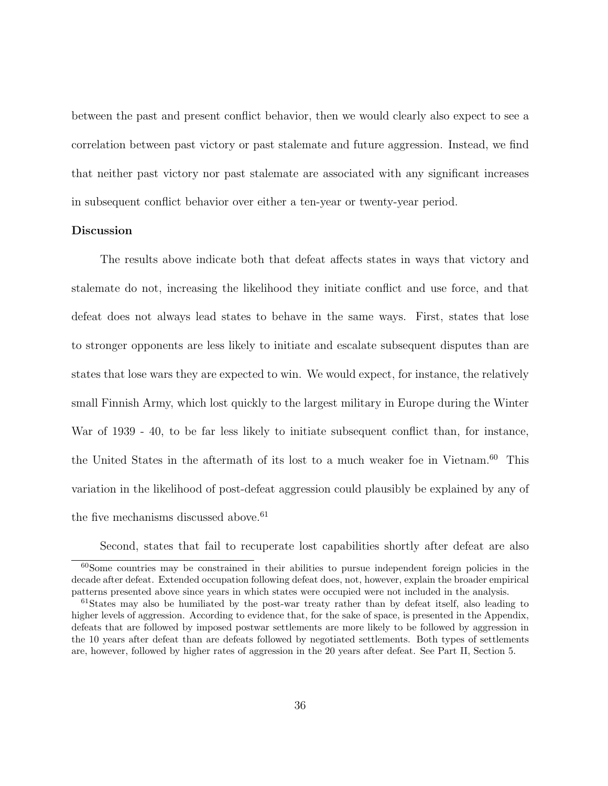between the past and present conflict behavior, then we would clearly also expect to see a correlation between past victory or past stalemate and future aggression. Instead, we find that neither past victory nor past stalemate are associated with any significant increases in subsequent conflict behavior over either a ten-year or twenty-year period.

### Discussion

The results above indicate both that defeat affects states in ways that victory and stalemate do not, increasing the likelihood they initiate conflict and use force, and that defeat does not always lead states to behave in the same ways. First, states that lose to stronger opponents are less likely to initiate and escalate subsequent disputes than are states that lose wars they are expected to win. We would expect, for instance, the relatively small Finnish Army, which lost quickly to the largest military in Europe during the Winter War of 1939 - 40, to be far less likely to initiate subsequent conflict than, for instance, the United States in the aftermath of its lost to a much weaker foe in Vietnam.<sup>60</sup> This variation in the likelihood of post-defeat aggression could plausibly be explained by any of the five mechanisms discussed above.  $61$ 

Second, states that fail to recuperate lost capabilities shortly after defeat are also

<sup>&</sup>lt;sup>60</sup>Some countries may be constrained in their abilities to pursue independent foreign policies in the decade after defeat. Extended occupation following defeat does, not, however, explain the broader empirical patterns presented above since years in which states were occupied were not included in the analysis.

<sup>&</sup>lt;sup>61</sup>States may also be humiliated by the post-war treaty rather than by defeat itself, also leading to higher levels of aggression. According to evidence that, for the sake of space, is presented in the Appendix, defeats that are followed by imposed postwar settlements are more likely to be followed by aggression in the 10 years after defeat than are defeats followed by negotiated settlements. Both types of settlements are, however, followed by higher rates of aggression in the 20 years after defeat. See Part II, Section 5.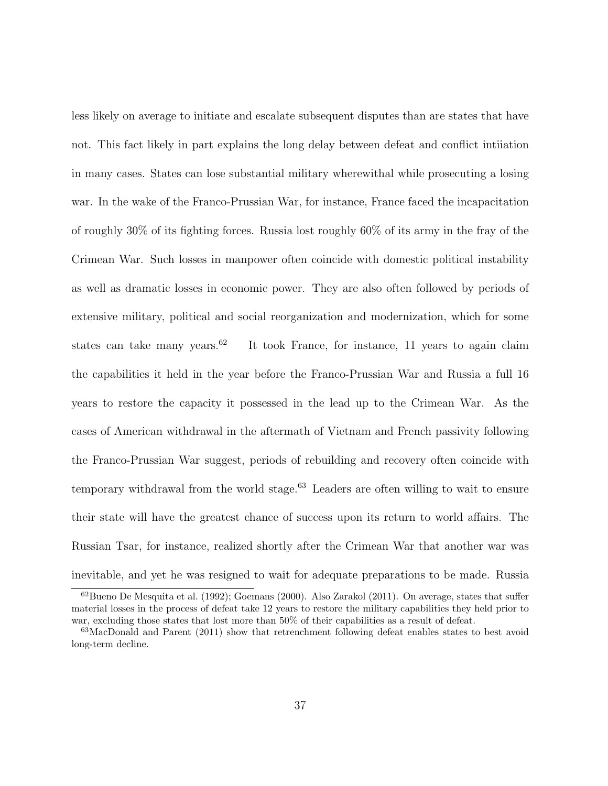less likely on average to initiate and escalate subsequent disputes than are states that have not. This fact likely in part explains the long delay between defeat and conflict intiiation in many cases. States can lose substantial military wherewithal while prosecuting a losing war. In the wake of the Franco-Prussian War, for instance, France faced the incapacitation of roughly 30% of its fighting forces. Russia lost roughly 60% of its army in the fray of the Crimean War. Such losses in manpower often coincide with domestic political instability as well as dramatic losses in economic power. They are also often followed by periods of extensive military, political and social reorganization and modernization, which for some states can take many years.<sup>62</sup> It took France, for instance, 11 years to again claim the capabilities it held in the year before the Franco-Prussian War and Russia a full 16 years to restore the capacity it possessed in the lead up to the Crimean War. As the cases of American withdrawal in the aftermath of Vietnam and French passivity following the Franco-Prussian War suggest, periods of rebuilding and recovery often coincide with temporary withdrawal from the world stage.<sup>63</sup> Leaders are often willing to wait to ensure their state will have the greatest chance of success upon its return to world affairs. The Russian Tsar, for instance, realized shortly after the Crimean War that another war was inevitable, and yet he was resigned to wait for adequate preparations to be made. Russia

<sup>62</sup>Bueno De Mesquita et al. (1992); Goemans (2000). Also Zarakol (2011). On average, states that suffer material losses in the process of defeat take 12 years to restore the military capabilities they held prior to war, excluding those states that lost more than  $50\%$  of their capabilities as a result of defeat.

 $63$ MacDonald and Parent (2011) show that retrenchment following defeat enables states to best avoid long-term decline.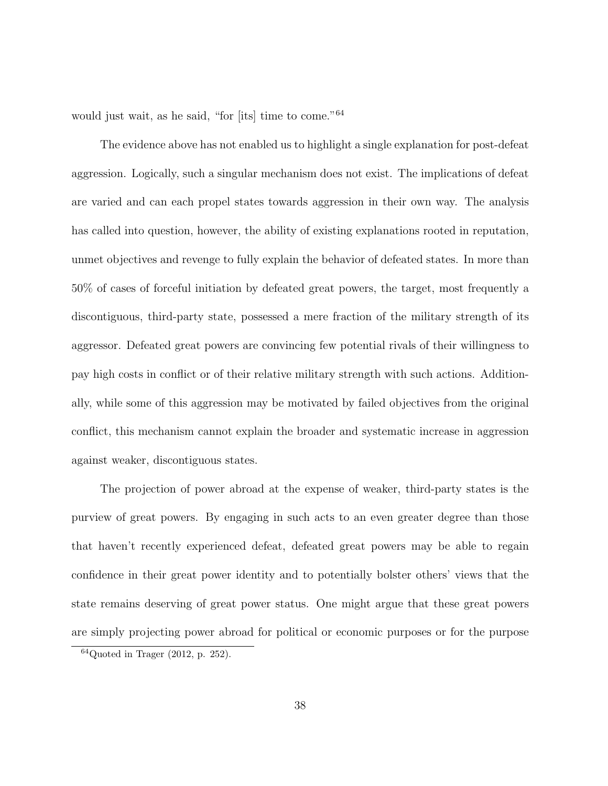would just wait, as he said, "for [its] time to come."<sup>64</sup>

The evidence above has not enabled us to highlight a single explanation for post-defeat aggression. Logically, such a singular mechanism does not exist. The implications of defeat are varied and can each propel states towards aggression in their own way. The analysis has called into question, however, the ability of existing explanations rooted in reputation, unmet objectives and revenge to fully explain the behavior of defeated states. In more than 50% of cases of forceful initiation by defeated great powers, the target, most frequently a discontiguous, third-party state, possessed a mere fraction of the military strength of its aggressor. Defeated great powers are convincing few potential rivals of their willingness to pay high costs in conflict or of their relative military strength with such actions. Additionally, while some of this aggression may be motivated by failed objectives from the original conflict, this mechanism cannot explain the broader and systematic increase in aggression against weaker, discontiguous states.

The projection of power abroad at the expense of weaker, third-party states is the purview of great powers. By engaging in such acts to an even greater degree than those that haven't recently experienced defeat, defeated great powers may be able to regain confidence in their great power identity and to potentially bolster others' views that the state remains deserving of great power status. One might argue that these great powers are simply projecting power abroad for political or economic purposes or for the purpose

 $64Q$ uoted in Trager (2012, p. 252).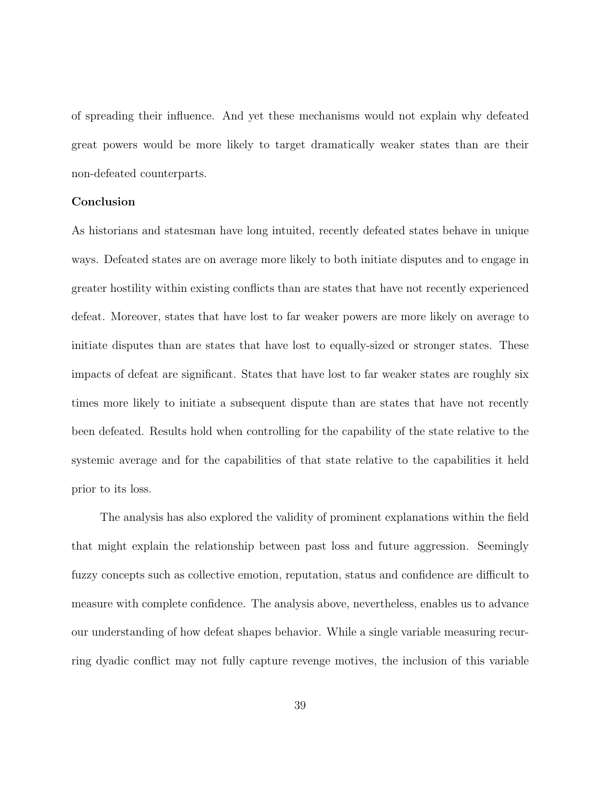of spreading their influence. And yet these mechanisms would not explain why defeated great powers would be more likely to target dramatically weaker states than are their non-defeated counterparts.

### Conclusion

As historians and statesman have long intuited, recently defeated states behave in unique ways. Defeated states are on average more likely to both initiate disputes and to engage in greater hostility within existing conflicts than are states that have not recently experienced defeat. Moreover, states that have lost to far weaker powers are more likely on average to initiate disputes than are states that have lost to equally-sized or stronger states. These impacts of defeat are significant. States that have lost to far weaker states are roughly six times more likely to initiate a subsequent dispute than are states that have not recently been defeated. Results hold when controlling for the capability of the state relative to the systemic average and for the capabilities of that state relative to the capabilities it held prior to its loss.

The analysis has also explored the validity of prominent explanations within the field that might explain the relationship between past loss and future aggression. Seemingly fuzzy concepts such as collective emotion, reputation, status and confidence are difficult to measure with complete confidence. The analysis above, nevertheless, enables us to advance our understanding of how defeat shapes behavior. While a single variable measuring recurring dyadic conflict may not fully capture revenge motives, the inclusion of this variable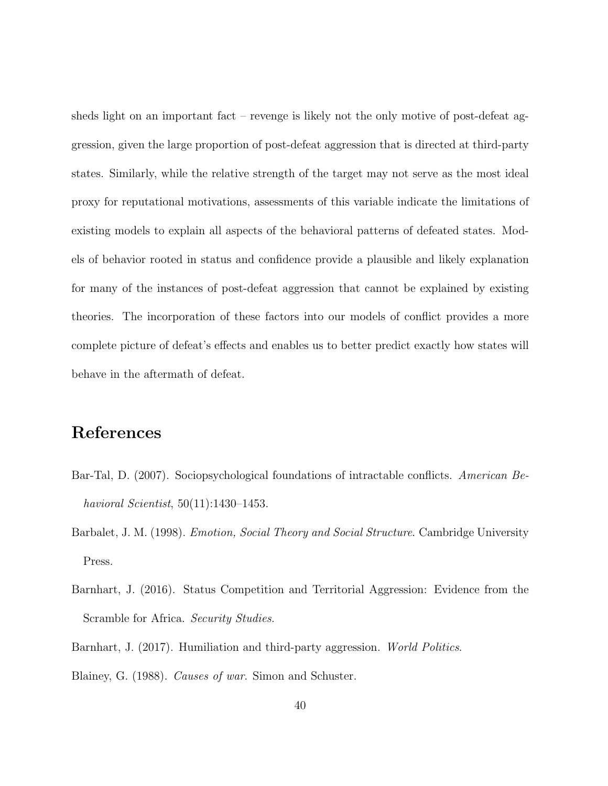sheds light on an important fact – revenge is likely not the only motive of post-defeat aggression, given the large proportion of post-defeat aggression that is directed at third-party states. Similarly, while the relative strength of the target may not serve as the most ideal proxy for reputational motivations, assessments of this variable indicate the limitations of existing models to explain all aspects of the behavioral patterns of defeated states. Models of behavior rooted in status and confidence provide a plausible and likely explanation for many of the instances of post-defeat aggression that cannot be explained by existing theories. The incorporation of these factors into our models of conflict provides a more complete picture of defeat's effects and enables us to better predict exactly how states will behave in the aftermath of defeat.

## References

- Bar-Tal, D. (2007). Sociopsychological foundations of intractable conflicts. American Behavioral Scientist, 50(11):1430–1453.
- Barbalet, J. M. (1998). *Emotion, Social Theory and Social Structure*. Cambridge University Press.
- Barnhart, J. (2016). Status Competition and Territorial Aggression: Evidence from the Scramble for Africa. Security Studies.

Barnhart, J. (2017). Humiliation and third-party aggression. World Politics.

Blainey, G. (1988). Causes of war. Simon and Schuster.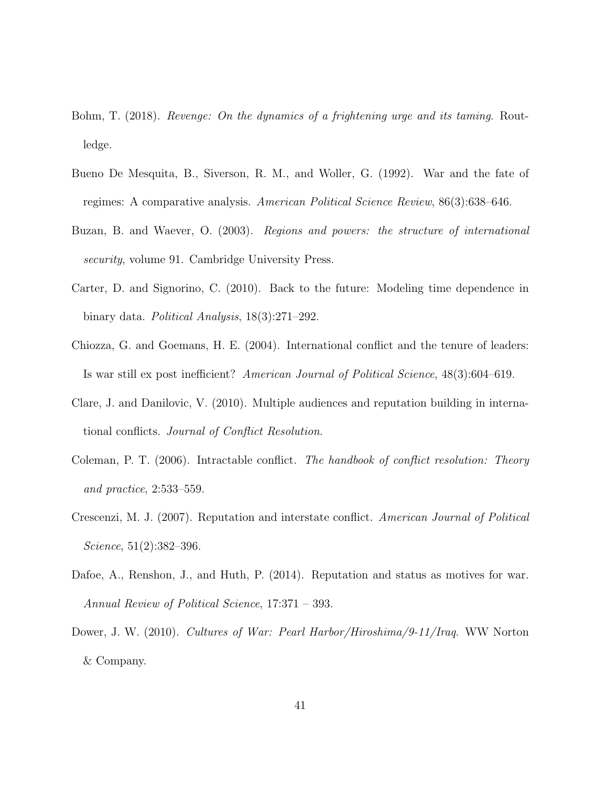- Bohm, T. (2018). Revenge: On the dynamics of a frightening urge and its taming. Routledge.
- Bueno De Mesquita, B., Siverson, R. M., and Woller, G. (1992). War and the fate of regimes: A comparative analysis. American Political Science Review, 86(3):638–646.
- Buzan, B. and Waever, O. (2003). Regions and powers: the structure of international security, volume 91. Cambridge University Press.
- Carter, D. and Signorino, C. (2010). Back to the future: Modeling time dependence in binary data. Political Analysis, 18(3):271–292.
- Chiozza, G. and Goemans, H. E. (2004). International conflict and the tenure of leaders: Is war still ex post inefficient? American Journal of Political Science, 48(3):604–619.
- Clare, J. and Danilovic, V. (2010). Multiple audiences and reputation building in international conflicts. Journal of Conflict Resolution.
- Coleman, P. T. (2006). Intractable conflict. The handbook of conflict resolution: Theory and practice, 2:533–559.
- Crescenzi, M. J. (2007). Reputation and interstate conflict. American Journal of Political Science, 51(2):382–396.
- Dafoe, A., Renshon, J., and Huth, P. (2014). Reputation and status as motives for war. Annual Review of Political Science, 17:371 – 393.
- Dower, J. W. (2010). Cultures of War: Pearl Harbor/Hiroshima/9-11/Iraq. WW Norton & Company.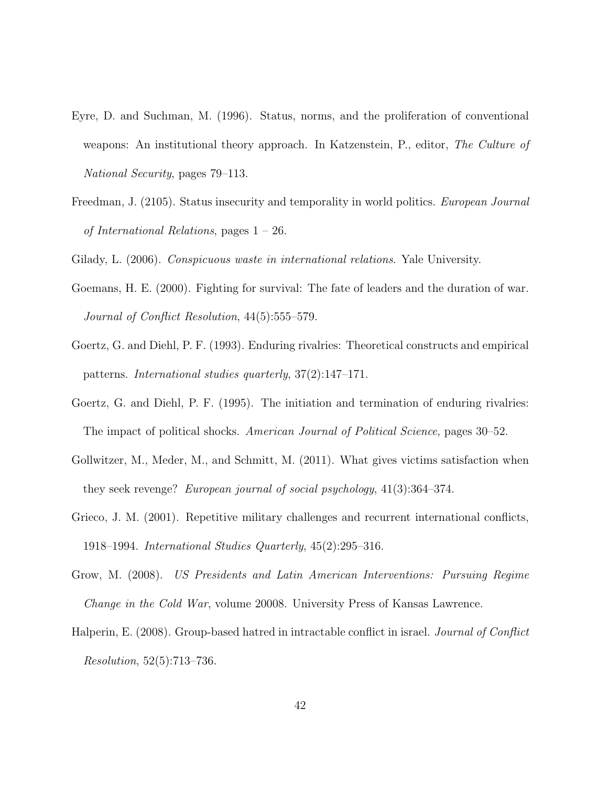- Eyre, D. and Suchman, M. (1996). Status, norms, and the proliferation of conventional weapons: An institutional theory approach. In Katzenstein, P., editor, The Culture of National Security, pages 79–113.
- Freedman, J. (2105). Status insecurity and temporality in world politics. European Journal of International Relations, pages  $1 - 26$ .

Gilady, L. (2006). Conspicuous waste in international relations. Yale University.

- Goemans, H. E. (2000). Fighting for survival: The fate of leaders and the duration of war. Journal of Conflict Resolution, 44(5):555–579.
- Goertz, G. and Diehl, P. F. (1993). Enduring rivalries: Theoretical constructs and empirical patterns. International studies quarterly, 37(2):147–171.
- Goertz, G. and Diehl, P. F. (1995). The initiation and termination of enduring rivalries: The impact of political shocks. American Journal of Political Science, pages 30–52.
- Gollwitzer, M., Meder, M., and Schmitt, M. (2011). What gives victims satisfaction when they seek revenge? European journal of social psychology, 41(3):364–374.
- Grieco, J. M. (2001). Repetitive military challenges and recurrent international conflicts, 1918–1994. International Studies Quarterly, 45(2):295–316.
- Grow, M. (2008). US Presidents and Latin American Interventions: Pursuing Regime Change in the Cold War, volume 20008. University Press of Kansas Lawrence.
- Halperin, E. (2008). Group-based hatred in intractable conflict in israel. *Journal of Conflict* Resolution, 52(5):713–736.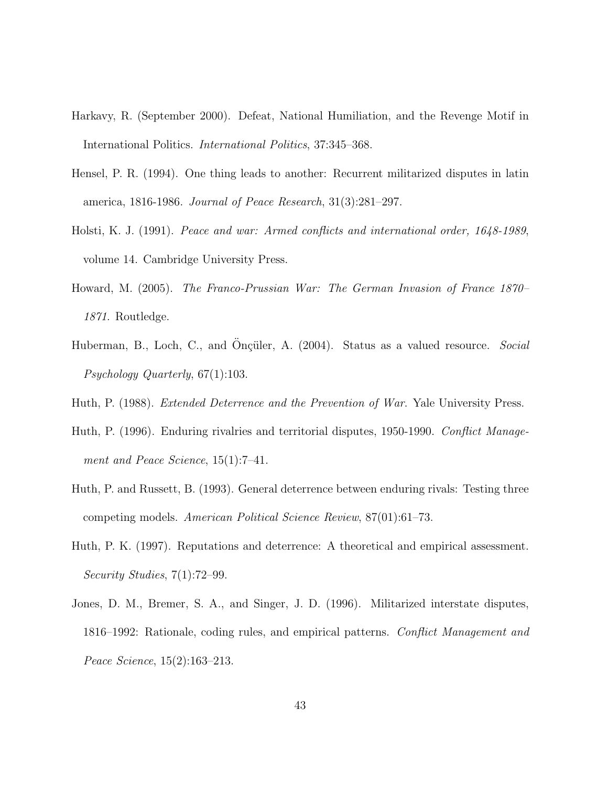- Harkavy, R. (September 2000). Defeat, National Humiliation, and the Revenge Motif in International Politics. International Politics, 37:345–368.
- Hensel, P. R. (1994). One thing leads to another: Recurrent militarized disputes in latin america, 1816-1986. Journal of Peace Research, 31(3):281–297.
- Holsti, K. J. (1991). Peace and war: Armed conflicts and international order, 1648-1989, volume 14. Cambridge University Press.
- Howard, M. (2005). The Franco-Prussian War: The German Invasion of France 1870– 1871. Routledge.
- Huberman, B., Loch, C., and Onçüler, A. (2004). Status as a valued resource. Social Psychology Quarterly, 67(1):103.
- Huth, P. (1988). *Extended Deterrence and the Prevention of War*. Yale University Press.
- Huth, P. (1996). Enduring rivalries and territorial disputes, 1950-1990. Conflict Management and Peace Science, 15(1):7–41.
- Huth, P. and Russett, B. (1993). General deterrence between enduring rivals: Testing three competing models. American Political Science Review, 87(01):61–73.
- Huth, P. K. (1997). Reputations and deterrence: A theoretical and empirical assessment. Security Studies, 7(1):72–99.
- Jones, D. M., Bremer, S. A., and Singer, J. D. (1996). Militarized interstate disputes, 1816–1992: Rationale, coding rules, and empirical patterns. Conflict Management and Peace Science, 15(2):163–213.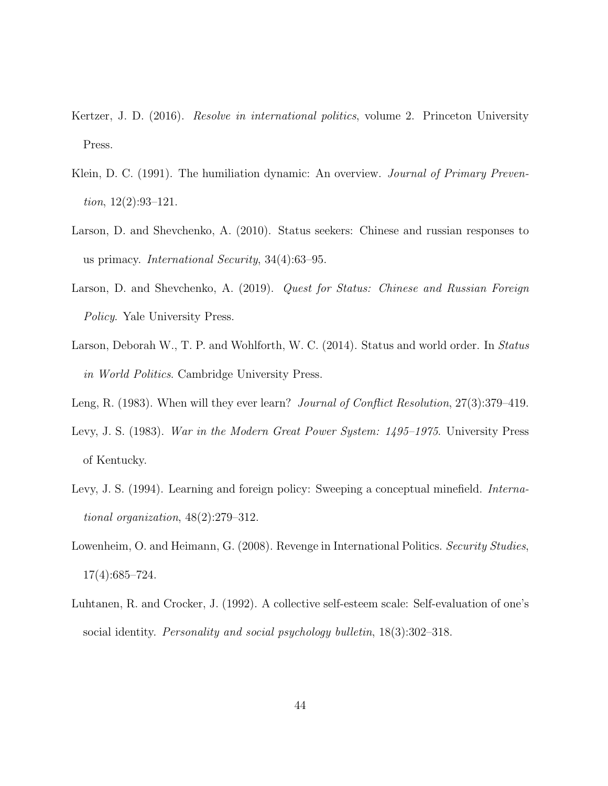- Kertzer, J. D. (2016). *Resolve in international politics*, volume 2. Princeton University Press.
- Klein, D. C. (1991). The humiliation dynamic: An overview. *Journal of Primary Preven*tion,  $12(2):93-121$ .
- Larson, D. and Shevchenko, A. (2010). Status seekers: Chinese and russian responses to us primacy. International Security, 34(4):63–95.
- Larson, D. and Shevchenko, A. (2019). Quest for Status: Chinese and Russian Foreign Policy. Yale University Press.
- Larson, Deborah W., T. P. and Wohlforth, W. C. (2014). Status and world order. In Status in World Politics. Cambridge University Press.
- Leng, R. (1983). When will they ever learn? Journal of Conflict Resolution, 27(3):379–419.
- Levy, J. S. (1983). War in the Modern Great Power System: 1495–1975. University Press of Kentucky.
- Levy, J. S. (1994). Learning and foreign policy: Sweeping a conceptual minefield. *Interna*tional organization, 48(2):279–312.
- Lowenheim, O. and Heimann, G. (2008). Revenge in International Politics. Security Studies, 17(4):685–724.
- Luhtanen, R. and Crocker, J. (1992). A collective self-esteem scale: Self-evaluation of one's social identity. *Personality and social psychology bulletin*,  $18(3)$ :302-318.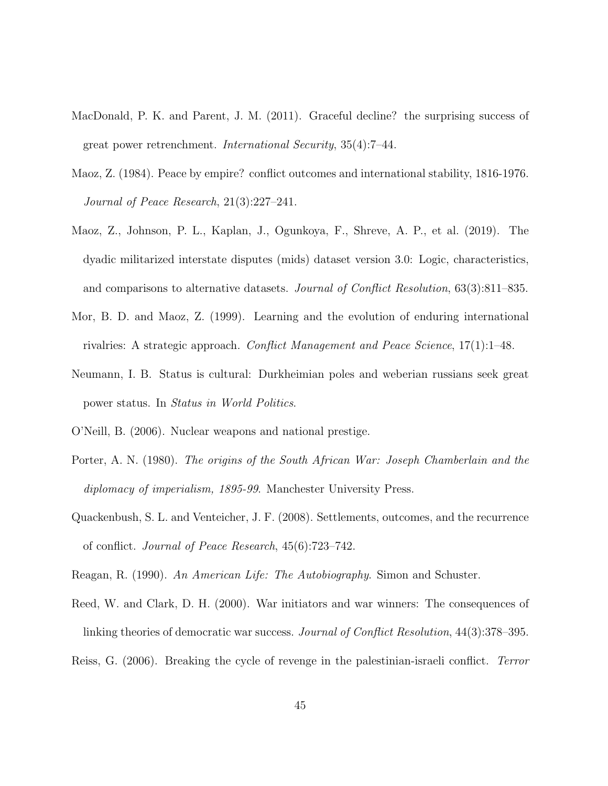- MacDonald, P. K. and Parent, J. M. (2011). Graceful decline? the surprising success of great power retrenchment. International Security, 35(4):7–44.
- Maoz, Z. (1984). Peace by empire? conflict outcomes and international stability, 1816-1976. Journal of Peace Research, 21(3):227–241.
- Maoz, Z., Johnson, P. L., Kaplan, J., Ogunkoya, F., Shreve, A. P., et al. (2019). The dyadic militarized interstate disputes (mids) dataset version 3.0: Logic, characteristics, and comparisons to alternative datasets. Journal of Conflict Resolution, 63(3):811–835.
- Mor, B. D. and Maoz, Z. (1999). Learning and the evolution of enduring international rivalries: A strategic approach. Conflict Management and Peace Science, 17(1):1–48.
- Neumann, I. B. Status is cultural: Durkheimian poles and weberian russians seek great power status. In Status in World Politics.
- O'Neill, B. (2006). Nuclear weapons and national prestige.
- Porter, A. N. (1980). The origins of the South African War: Joseph Chamberlain and the diplomacy of imperialism, 1895-99. Manchester University Press.
- Quackenbush, S. L. and Venteicher, J. F. (2008). Settlements, outcomes, and the recurrence of conflict. Journal of Peace Research, 45(6):723–742.
- Reagan, R. (1990). An American Life: The Autobiography. Simon and Schuster.
- Reed, W. and Clark, D. H. (2000). War initiators and war winners: The consequences of linking theories of democratic war success. Journal of Conflict Resolution, 44(3):378–395.
- Reiss, G. (2006). Breaking the cycle of revenge in the palestinian-israeli conflict. Terror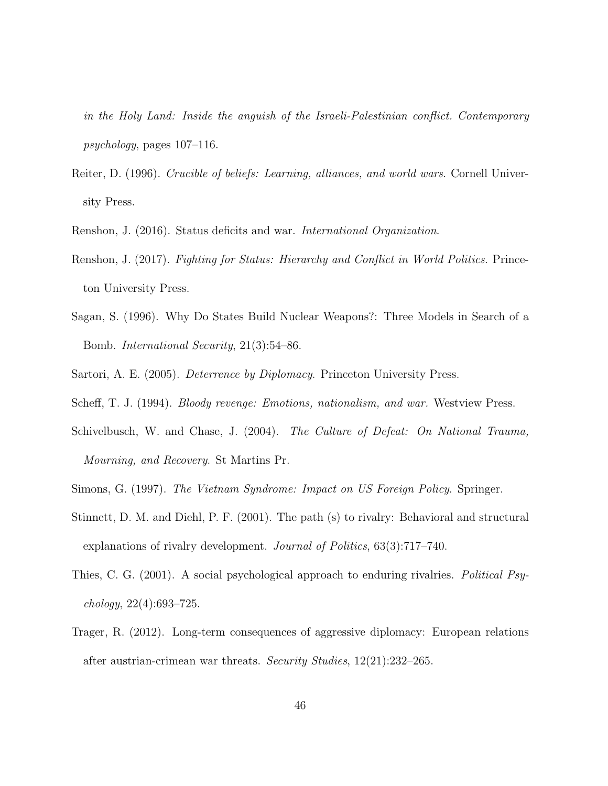in the Holy Land: Inside the anguish of the Israeli-Palestinian conflict. Contemporary psychology, pages 107–116.

- Reiter, D. (1996). Crucible of beliefs: Learning, alliances, and world wars. Cornell University Press.
- Renshon, J. (2016). Status deficits and war. International Organization.
- Renshon, J. (2017). Fighting for Status: Hierarchy and Conflict in World Politics. Princeton University Press.
- Sagan, S. (1996). Why Do States Build Nuclear Weapons?: Three Models in Search of a Bomb. International Security, 21(3):54–86.
- Sartori, A. E. (2005). Deterrence by Diplomacy. Princeton University Press.
- Scheff, T. J. (1994). Bloody revenge: Emotions, nationalism, and war. Westview Press.
- Schivelbusch, W. and Chase, J. (2004). The Culture of Defeat: On National Trauma, Mourning, and Recovery. St Martins Pr.
- Simons, G. (1997). The Vietnam Syndrome: Impact on US Foreign Policy. Springer.
- Stinnett, D. M. and Diehl, P. F. (2001). The path (s) to rivalry: Behavioral and structural explanations of rivalry development. Journal of Politics, 63(3):717–740.
- Thies, C. G. (2001). A social psychological approach to enduring rivalries. Political Psychology, 22(4):693–725.
- Trager, R. (2012). Long-term consequences of aggressive diplomacy: European relations after austrian-crimean war threats. Security Studies, 12(21):232–265.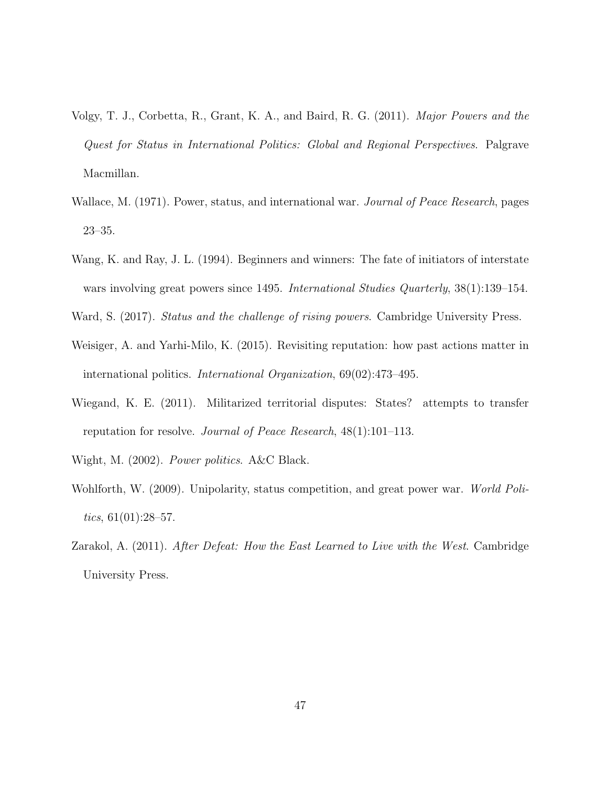- Volgy, T. J., Corbetta, R., Grant, K. A., and Baird, R. G. (2011). Major Powers and the Quest for Status in International Politics: Global and Regional Perspectives. Palgrave Macmillan.
- Wallace, M. (1971). Power, status, and international war. *Journal of Peace Research*, pages 23–35.
- Wang, K. and Ray, J. L. (1994). Beginners and winners: The fate of initiators of interstate wars involving great powers since 1495. International Studies Quarterly,  $38(1):139-154$ .
- Ward, S. (2017). *Status and the challenge of rising powers*. Cambridge University Press.
- Weisiger, A. and Yarhi-Milo, K. (2015). Revisiting reputation: how past actions matter in international politics. International Organization, 69(02):473–495.
- Wiegand, K. E. (2011). Militarized territorial disputes: States? attempts to transfer reputation for resolve. Journal of Peace Research, 48(1):101–113.
- Wight, M. (2002). Power politics. A&C Black.
- Wohlforth, W. (2009). Unipolarity, status competition, and great power war. World Politics,  $61(01):28-57$ .
- Zarakol, A. (2011). After Defeat: How the East Learned to Live with the West. Cambridge University Press.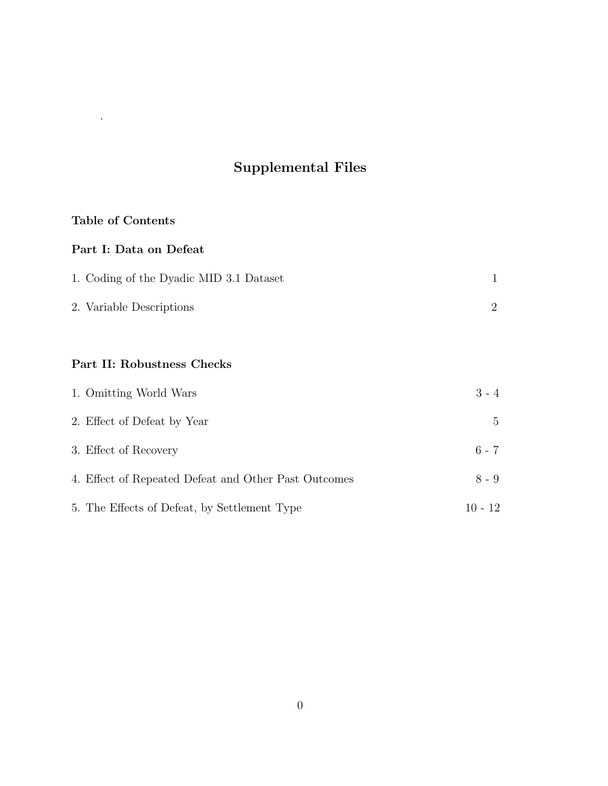# Supplemental Files

## Table of Contents

.

## Part I: Data on Defeat

| 1. Coding of the Dyadic MID 3.1 Dataset |  |
|-----------------------------------------|--|
| 2. Variable Descriptions                |  |

## Part II: Robustness Checks

| 1. Omitting World Wars                       |                                                      | $3 - 4$     |
|----------------------------------------------|------------------------------------------------------|-------------|
| 2. Effect of Defeat by Year                  |                                                      | $5^{\circ}$ |
| 3. Effect of Recovery                        |                                                      | $6 - 7$     |
|                                              | 4. Effect of Repeated Defeat and Other Past Outcomes | $8 - 9$     |
| 5. The Effects of Defeat, by Settlement Type |                                                      | $10 - 12$   |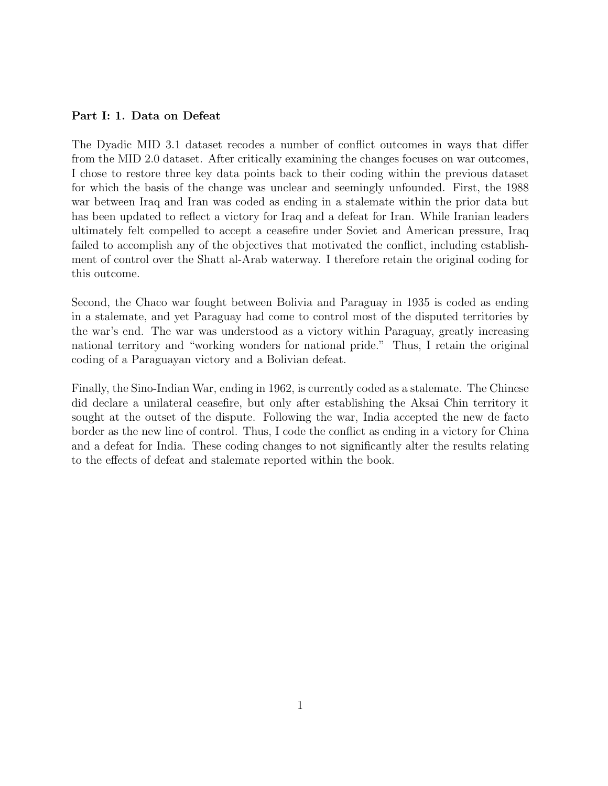### Part I: 1. Data on Defeat

The Dyadic MID 3.1 dataset recodes a number of conflict outcomes in ways that differ from the MID 2.0 dataset. After critically examining the changes focuses on war outcomes, I chose to restore three key data points back to their coding within the previous dataset for which the basis of the change was unclear and seemingly unfounded. First, the 1988 war between Iraq and Iran was coded as ending in a stalemate within the prior data but has been updated to reflect a victory for Iraq and a defeat for Iran. While Iranian leaders ultimately felt compelled to accept a ceasefire under Soviet and American pressure, Iraq failed to accomplish any of the objectives that motivated the conflict, including establishment of control over the Shatt al-Arab waterway. I therefore retain the original coding for this outcome.

Second, the Chaco war fought between Bolivia and Paraguay in 1935 is coded as ending in a stalemate, and yet Paraguay had come to control most of the disputed territories by the war's end. The war was understood as a victory within Paraguay, greatly increasing national territory and "working wonders for national pride." Thus, I retain the original coding of a Paraguayan victory and a Bolivian defeat.

Finally, the Sino-Indian War, ending in 1962, is currently coded as a stalemate. The Chinese did declare a unilateral ceasefire, but only after establishing the Aksai Chin territory it sought at the outset of the dispute. Following the war, India accepted the new de facto border as the new line of control. Thus, I code the conflict as ending in a victory for China and a defeat for India. These coding changes to not significantly alter the results relating to the effects of defeat and stalemate reported within the book.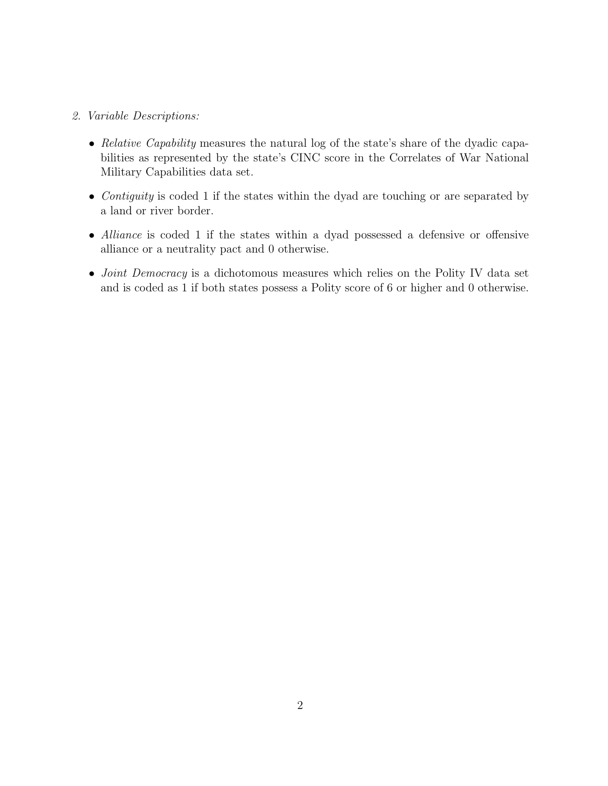### 2. Variable Descriptions:

- Relative Capability measures the natural log of the state's share of the dyadic capabilities as represented by the state's CINC score in the Correlates of War National Military Capabilities data set.
- Contiguity is coded 1 if the states within the dyad are touching or are separated by a land or river border.
- Alliance is coded 1 if the states within a dyad possessed a defensive or offensive alliance or a neutrality pact and 0 otherwise.
- *Joint Democracy* is a dichotomous measures which relies on the Polity IV data set and is coded as 1 if both states possess a Polity score of 6 or higher and 0 otherwise.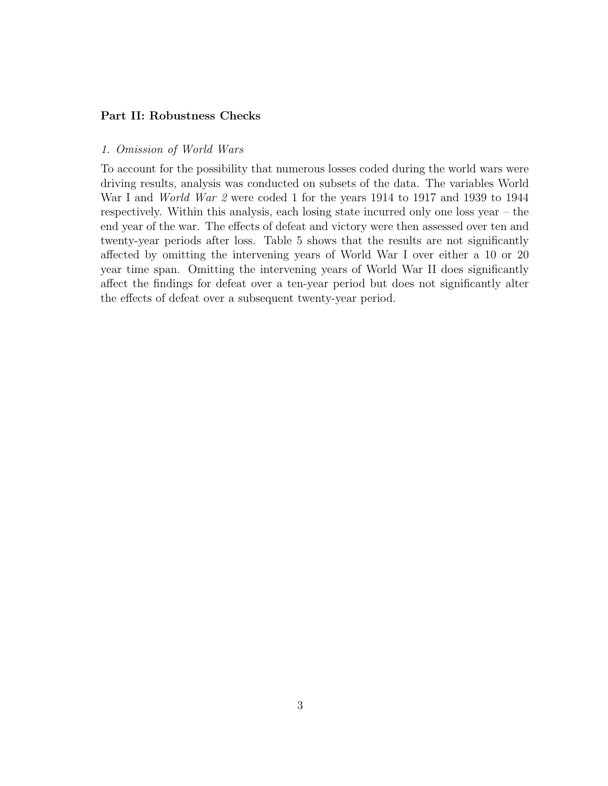### Part II: Robustness Checks

### 1. Omission of World Wars

To account for the possibility that numerous losses coded during the world wars were driving results, analysis was conducted on subsets of the data. The variables World War I and *World War 2* were coded 1 for the years 1914 to 1917 and 1939 to 1944 respectively. Within this analysis, each losing state incurred only one loss year – the end year of the war. The effects of defeat and victory were then assessed over ten and twenty-year periods after loss. Table 5 shows that the results are not significantly affected by omitting the intervening years of World War I over either a 10 or 20 year time span. Omitting the intervening years of World War II does significantly affect the findings for defeat over a ten-year period but does not significantly alter the effects of defeat over a subsequent twenty-year period.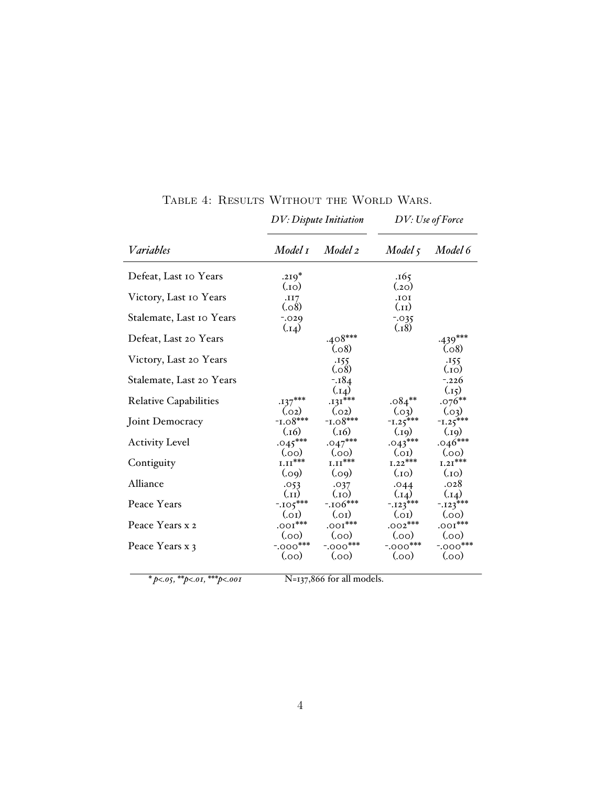|                              |                        | <b>DV</b> : Dispute Initiation |                       | DV: Use of Force    |
|------------------------------|------------------------|--------------------------------|-----------------------|---------------------|
| Variables                    | Model 1                | Model 2                        | $Model\,5$            | Model 6             |
| Defeat, Last 10 Years        | $.219*$                |                                | .165<br>(.20)         |                     |
| Victory, Last 10 Years       | (0.1)<br>.II7<br>(.08) |                                | IOI.<br>(L1)          |                     |
| Stalemate, Last 10 Years     | $-0.029$<br>(.14)      |                                | $-0.035$<br>(.18)     |                     |
| Defeat, Last 20 Years        |                        | $.408***$<br>(.08)             |                       | $-439***$<br>(0.08) |
| Victory, Last 20 Years       |                        | .155<br>(.08)                  |                       | .155<br>(0.1)       |
| Stalemate, Last 20 Years     |                        | $-184$<br>(.14)                |                       | $-0.226$<br>(.15)   |
| <b>Relative Capabilities</b> | $.137***$              | $.131***$                      | $.084***$             | $.076**$            |
|                              | (.02)                  | (.02)                          | (.03)                 | (0.03)              |
| Joint Democracy              | $-1.08***$             | $-1.08***$                     | $\overline{1,25}$ *** | $-1.25***$          |
|                              | (.16)                  | (.16)                          | (0.19)                | (.19)               |
| <b>Activity Level</b>        | $.045***$              | $.047***$                      | $.043***$             | $.046***$           |
|                              | (0.0)                  | (0.0)                          | (0.01)                | (0.00)              |
| Contiguity                   | $1.11^{***}$           | ${\tt I.II}^{***}$             | $1.22***$             | $1.21^{***}$        |
|                              | (0.09)                 | (0.09)                         | $_{\rm (O1.)}$        | $_{(01)}$           |
| Alliance                     | .053                   | .037                           | .044                  | .028                |
|                              | (11)                   | (0.1)                          | (.14)                 | (.14)               |
| Peace Years                  | $-105***$              | $-.106***$                     | $-123***$             | $-123***$           |
|                              | (0.01)                 | (0.01)                         | (0.01)                | (0.00)              |
| Peace Years x 2              | $.001***$              | $.001***$                      | $.002***$             | $.001***$           |
|                              | (00)                   | (0.00)                         | (0.00)                | (0.00)              |
| Peace Years x 3              | $-.000***$             | $-.000$ ***                    | $-.000***$            | $-.000***$          |
|                              | (00)                   | (0.00)                         | (0.00)                | (0.0)               |

TABLE 4: RESULTS WITHOUT THE WORLD WARS.

 *\* p<.05, \*\*p<.01, \*\*\*p<.001* N=137,866 for all models.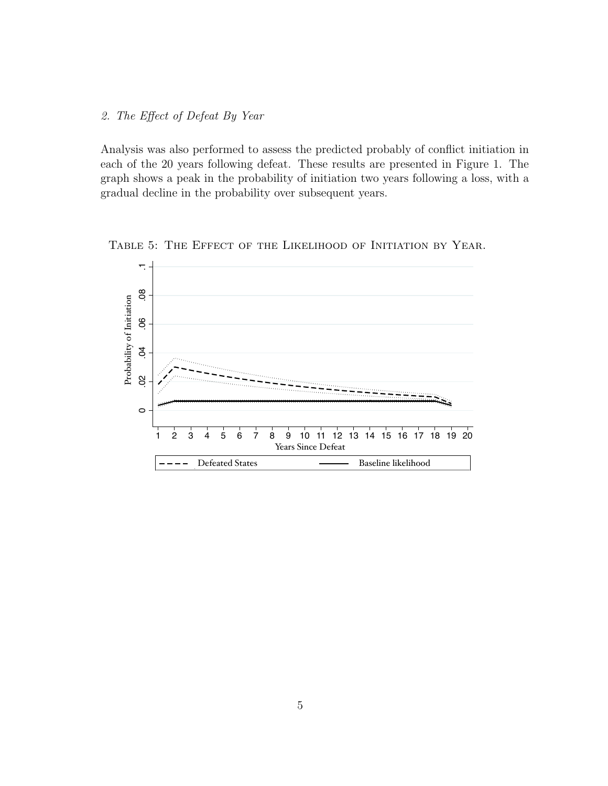### 2. The Effect of Defeat By Year

Analysis was also performed to assess the predicted probably of conflict initiation in each of the 20 years following defeat. These results are presented in Figure 1. The graph shows a peak in the probability of initiation two years following a loss, with a gradual decline in the probability over subsequent years.



Table 5: The Effect of the Likelihood of Initiation by Year.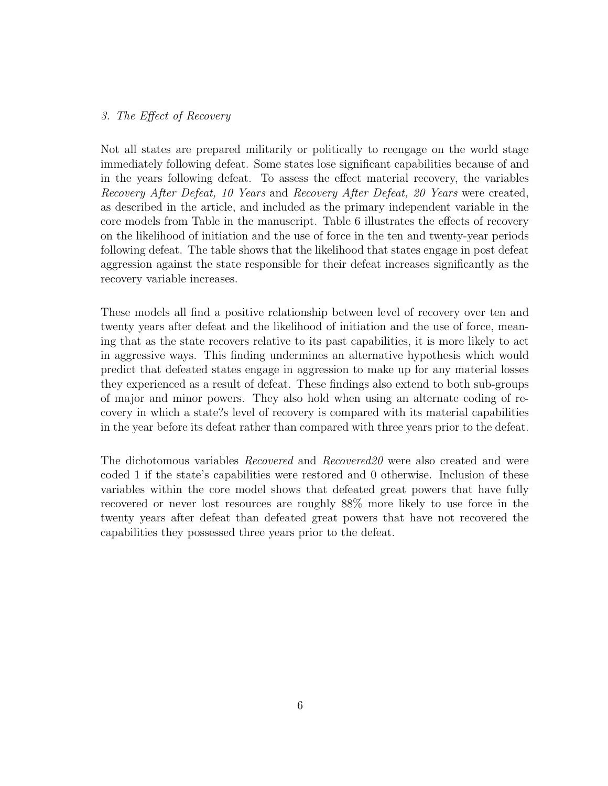### 3. The Effect of Recovery

Not all states are prepared militarily or politically to reengage on the world stage immediately following defeat. Some states lose significant capabilities because of and in the years following defeat. To assess the effect material recovery, the variables Recovery After Defeat, 10 Years and Recovery After Defeat, 20 Years were created, as described in the article, and included as the primary independent variable in the core models from Table in the manuscript. Table 6 illustrates the effects of recovery on the likelihood of initiation and the use of force in the ten and twenty-year periods following defeat. The table shows that the likelihood that states engage in post defeat aggression against the state responsible for their defeat increases significantly as the recovery variable increases.

These models all find a positive relationship between level of recovery over ten and twenty years after defeat and the likelihood of initiation and the use of force, meaning that as the state recovers relative to its past capabilities, it is more likely to act in aggressive ways. This finding undermines an alternative hypothesis which would predict that defeated states engage in aggression to make up for any material losses they experienced as a result of defeat. These findings also extend to both sub-groups of major and minor powers. They also hold when using an alternate coding of recovery in which a state?s level of recovery is compared with its material capabilities in the year before its defeat rather than compared with three years prior to the defeat.

The dichotomous variables Recovered and Recovered20 were also created and were coded 1 if the state's capabilities were restored and 0 otherwise. Inclusion of these variables within the core model shows that defeated great powers that have fully recovered or never lost resources are roughly 88% more likely to use force in the twenty years after defeat than defeated great powers that have not recovered the capabilities they possessed three years prior to the defeat.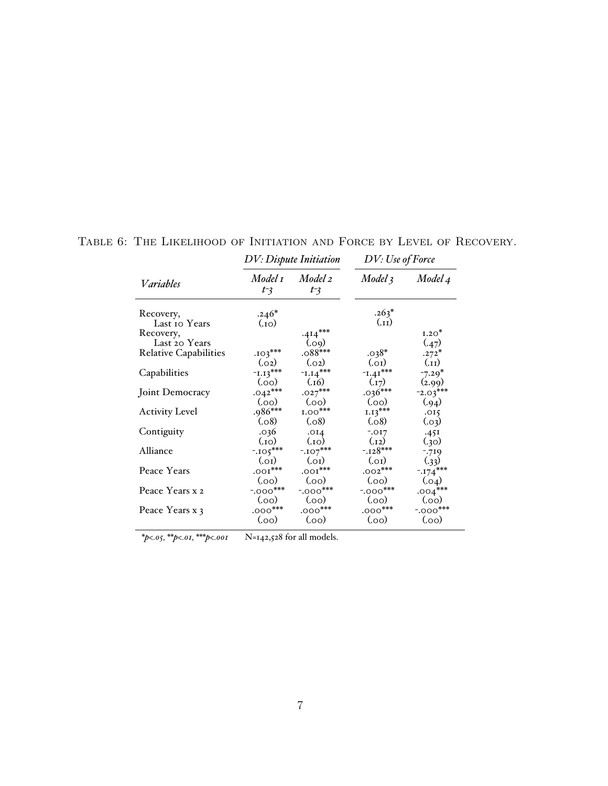|                              |                    | <b>DV</b> : Dispute Initiation | DV: Use of Force     |                  |
|------------------------------|--------------------|--------------------------------|----------------------|------------------|
| Variables                    | Model 1<br>$t - 3$ | Model 2<br>$t - 3$             | Model 3              | Model 4          |
| Recovery,<br>Last to Years   | $.246*$<br>(i)     |                                | $.263*$<br>$(L_{1})$ |                  |
| Recovery,<br>Last 20 Years   |                    | $.414***$<br>(.09)             |                      | $1.20*$<br>(.47) |
| <b>Relative Capabilities</b> | $.103***$          | $.088***$                      | $.038*$              | $.272*$          |
|                              | (.02)              | (.02)                          | (0.01)               | (.11)            |
| Capabilities                 | $1.13***$          | $-L.14***$                     | $-1.41***$           | $-7.29*$         |
|                              | (0.0)              | (.16)                          | (.17)                | (2.99)           |
| Joint Democracy              | $.042***$          | $.027***$                      | $.036***$            | $-2.03***$       |
|                              | (00)               | (0.0)                          | (00)                 | (.94)            |
| <b>Activity Level</b>        | $.986***$          | $1.00***$                      | $1.13***$            | .015             |
|                              | (.08)              | (.08)                          | (.08)                | (.03)            |
| Contiguity                   | .036               | .014                           | $-.017$              | .45I             |
|                              | $_{\rm (O1.)}$     | $_{(01)}$                      | (.12)                | (.30)            |
| Alliance                     | $-105***$          | $-.107***$                     | $-.128***$           | -.719            |
|                              | (0.01)             | (0.01)                         | (0.01)               | (.33)            |
| Peace Years                  | $.001***$          | $.001***$                      | $.002***$            | $-174***$        |
|                              | (00)               | (0.00)                         | (0.0)                | (.04)            |
| Peace Years x 2              | $-.000$ ***        | $-.000***$                     | $-.000$ ***          | $.004***$        |
|                              | (.oo)              | (0.0)                          | (00)                 | (0.0)            |
| Peace Years x 3              | $.000***$          | $.000***$                      | $.000***$            | $-.000***$       |
|                              | (0.0)              | (0.00)                         | (0.0)                | (0.00)           |

## Table 6: The Likelihood of Initiation and Force by Level of Recovery.

*\*p<.05, \*\*p<.01, \*\*\*p<.001* N=142,528 for all models.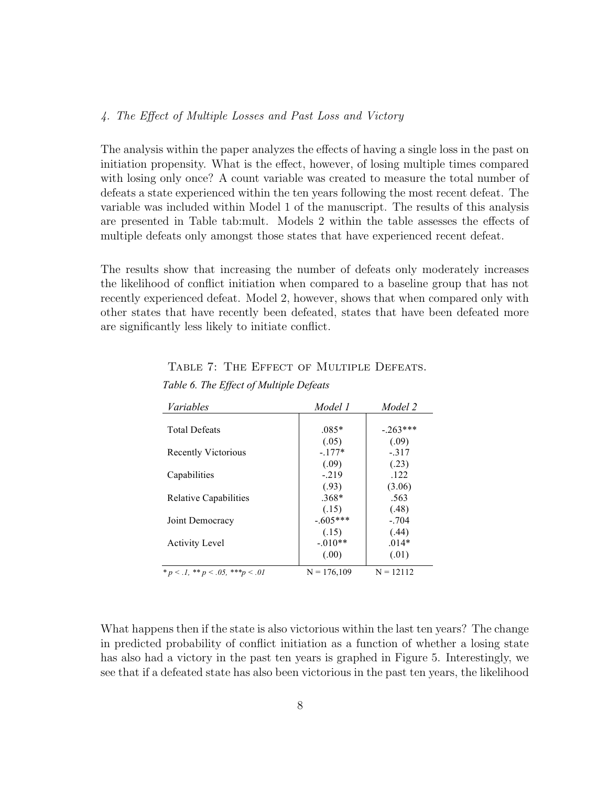### 4. The Effect of Multiple Losses and Past Loss and Victory

The analysis within the paper analyzes the effects of having a single loss in the past on initiation propensity. What is the effect, however, of losing multiple times compared with losing only once? A count variable was created to measure the total number of defeats a state experienced within the ten years following the most recent defeat. The variable was included within Model 1 of the manuscript. The results of this analysis are presented in Table tab:mult. Models 2 within the table assesses the effects of multiple defeats only amongst those states that have experienced recent defeat.

The results show that increasing the number of defeats only moderately increases the likelihood of conflict initiation when compared to a baseline group that has not recently experienced defeat. Model 2, however, shows that when compared only with other states that have recently been defeated, states that have been defeated more are significantly less likely to initiate conflict.

### TABLE 7: THE EFFECT OF MULTIPLE DEFEATS.

| Variables                                    | Model 1       | Model 2     |
|----------------------------------------------|---------------|-------------|
|                                              |               |             |
| <b>Total Defeats</b>                         | $.085*$       | $-.263***$  |
|                                              | (.05)         | (.09)       |
| <b>Recently Victorious</b>                   | $-177*$       | $-317$      |
|                                              | (.09)         | (.23)       |
| Capabilities                                 | $-219$        | .122        |
|                                              | (.93)         | (3.06)      |
| <b>Relative Capabilities</b>                 | $.368*$       | .563        |
|                                              | (.15)         | (.48)       |
| Joint Democracy                              | $-.605***$    | $-.704$     |
|                                              | (.15)         | (.44)       |
| <b>Activity Level</b>                        | $-.010**$     | $.014*$     |
|                                              | (.00)         | (.01)       |
| * $p < 0.1$ , ** $p < 0.05$ , *** $p < 0.01$ | $N = 176,109$ | $N = 12112$ |

|  |  |  | Table 6. The Effect of Multiple Defeats |
|--|--|--|-----------------------------------------|
|  |  |  |                                         |

What happens then if the state is also victorious within the last ten years? The change in predicted probability of conflict initiation as a function of whether a losing state has also had a victory in the past ten years is graphed in Figure 5. Interestingly, we see that if a defeated state has also been victorious in the past ten years, the likelihood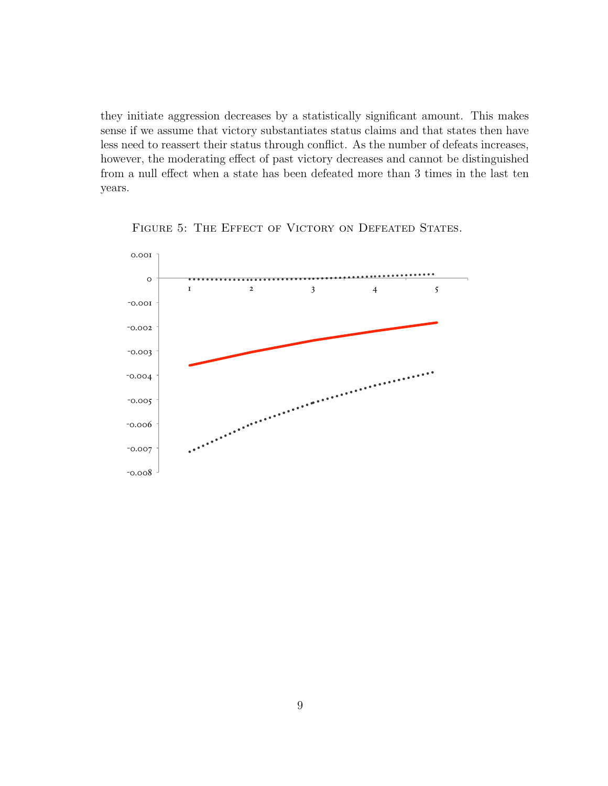they initiate aggression decreases by a statistically significant amount. This makes sense if we assume that victory substantiates status claims and that states then have less need to reassert their status through conflict. As the number of defeats increases, however, the moderating effect of past victory decreases and cannot be distinguished from a null effect when a state has been defeated more than 3 times in the last ten years.



FIGURE 5: THE EFFECT OF VICTORY ON DEFEATED STATES.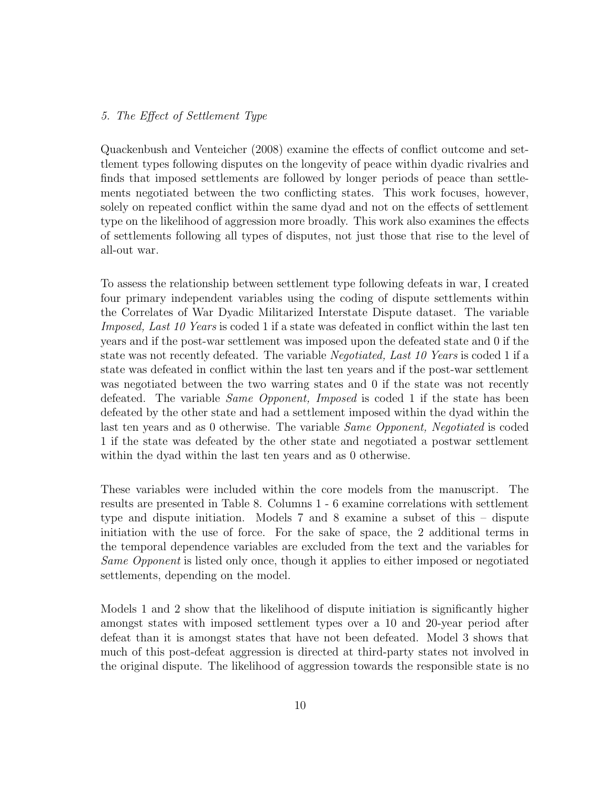### 5. The Effect of Settlement Type

Quackenbush and Venteicher (2008) examine the effects of conflict outcome and settlement types following disputes on the longevity of peace within dyadic rivalries and finds that imposed settlements are followed by longer periods of peace than settlements negotiated between the two conflicting states. This work focuses, however, solely on repeated conflict within the same dyad and not on the effects of settlement type on the likelihood of aggression more broadly. This work also examines the effects of settlements following all types of disputes, not just those that rise to the level of all-out war.

To assess the relationship between settlement type following defeats in war, I created four primary independent variables using the coding of dispute settlements within the Correlates of War Dyadic Militarized Interstate Dispute dataset. The variable Imposed, Last 10 Years is coded 1 if a state was defeated in conflict within the last ten years and if the post-war settlement was imposed upon the defeated state and 0 if the state was not recently defeated. The variable Negotiated, Last 10 Years is coded 1 if a state was defeated in conflict within the last ten years and if the post-war settlement was negotiated between the two warring states and 0 if the state was not recently defeated. The variable *Same Opponent*, *Imposed* is coded 1 if the state has been defeated by the other state and had a settlement imposed within the dyad within the last ten years and as 0 otherwise. The variable Same Opponent, Negotiated is coded 1 if the state was defeated by the other state and negotiated a postwar settlement within the dyad within the last ten years and as 0 otherwise.

These variables were included within the core models from the manuscript. The results are presented in Table 8. Columns 1 - 6 examine correlations with settlement type and dispute initiation. Models 7 and 8 examine a subset of this – dispute initiation with the use of force. For the sake of space, the 2 additional terms in the temporal dependence variables are excluded from the text and the variables for Same Opponent is listed only once, though it applies to either imposed or negotiated settlements, depending on the model.

Models 1 and 2 show that the likelihood of dispute initiation is significantly higher amongst states with imposed settlement types over a 10 and 20-year period after defeat than it is amongst states that have not been defeated. Model 3 shows that much of this post-defeat aggression is directed at third-party states not involved in the original dispute. The likelihood of aggression towards the responsible state is no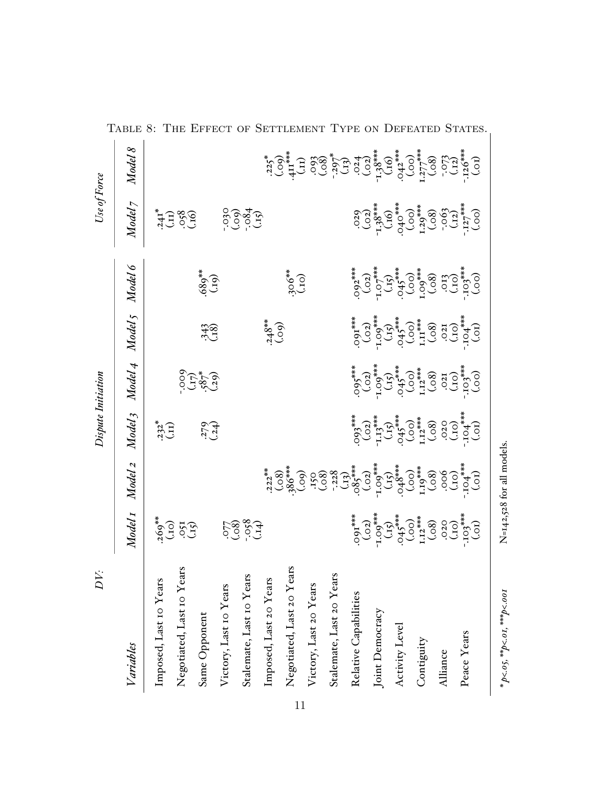| DV:                                      |                                                                                                                                                                    |                           | Dispute Initiation                                                                                                                          |                                                                                                                                                                                                                                                                                                      |                                                                                                                      |                                                                                                                                                                                                                                                                                                      | Use of Force                                                                                                                                                                                                                                                                                                                                                                                                         |                                                                                                                                                                                                                                                                                                                                                |  |
|------------------------------------------|--------------------------------------------------------------------------------------------------------------------------------------------------------------------|---------------------------|---------------------------------------------------------------------------------------------------------------------------------------------|------------------------------------------------------------------------------------------------------------------------------------------------------------------------------------------------------------------------------------------------------------------------------------------------------|----------------------------------------------------------------------------------------------------------------------|------------------------------------------------------------------------------------------------------------------------------------------------------------------------------------------------------------------------------------------------------------------------------------------------------|----------------------------------------------------------------------------------------------------------------------------------------------------------------------------------------------------------------------------------------------------------------------------------------------------------------------------------------------------------------------------------------------------------------------|------------------------------------------------------------------------------------------------------------------------------------------------------------------------------------------------------------------------------------------------------------------------------------------------------------------------------------------------|--|
| Variables                                | Model <sub>I</sub>                                                                                                                                                 | Model 2                   | Model <sub>3</sub>                                                                                                                          | Model 4                                                                                                                                                                                                                                                                                              | Model <sub>5</sub>                                                                                                   | Model 6                                                                                                                                                                                                                                                                                              | Model 7                                                                                                                                                                                                                                                                                                                                                                                                              | Model 8                                                                                                                                                                                                                                                                                                                                        |  |
| Imposed, Last 10 Years                   |                                                                                                                                                                    |                           | $232^*$                                                                                                                                     |                                                                                                                                                                                                                                                                                                      |                                                                                                                      |                                                                                                                                                                                                                                                                                                      |                                                                                                                                                                                                                                                                                                                                                                                                                      |                                                                                                                                                                                                                                                                                                                                                |  |
| Negotiated, Last 10 Years                | $269*$<br>$(100)$<br>$(15)$                                                                                                                                        |                           |                                                                                                                                             |                                                                                                                                                                                                                                                                                                      |                                                                                                                      |                                                                                                                                                                                                                                                                                                      | 413 869                                                                                                                                                                                                                                                                                                                                                                                                              |                                                                                                                                                                                                                                                                                                                                                |  |
| Same Opponent                            |                                                                                                                                                                    |                           | $279$<br>$(24)$                                                                                                                             | 0227-02<br>(787-)<br>000                                                                                                                                                                                                                                                                             | 343                                                                                                                  | $689$ **                                                                                                                                                                                                                                                                                             |                                                                                                                                                                                                                                                                                                                                                                                                                      |                                                                                                                                                                                                                                                                                                                                                |  |
| Victory, Last 10 Years                   |                                                                                                                                                                    |                           |                                                                                                                                             |                                                                                                                                                                                                                                                                                                      |                                                                                                                      |                                                                                                                                                                                                                                                                                                      |                                                                                                                                                                                                                                                                                                                                                                                                                      |                                                                                                                                                                                                                                                                                                                                                |  |
| Stalemate, Last 10 Years                 |                                                                                                                                                                    |                           |                                                                                                                                             |                                                                                                                                                                                                                                                                                                      |                                                                                                                      |                                                                                                                                                                                                                                                                                                      | 650.000                                                                                                                                                                                                                                                                                                                                                                                                              |                                                                                                                                                                                                                                                                                                                                                |  |
| Imposed, Last 20 Years                   |                                                                                                                                                                    |                           |                                                                                                                                             |                                                                                                                                                                                                                                                                                                      | $^{248}_{(.09)}$                                                                                                     |                                                                                                                                                                                                                                                                                                      |                                                                                                                                                                                                                                                                                                                                                                                                                      |                                                                                                                                                                                                                                                                                                                                                |  |
| Negotiated, Last 20 Years                |                                                                                                                                                                    |                           |                                                                                                                                             |                                                                                                                                                                                                                                                                                                      |                                                                                                                      | $306***$<br>(.10)                                                                                                                                                                                                                                                                                    |                                                                                                                                                                                                                                                                                                                                                                                                                      |                                                                                                                                                                                                                                                                                                                                                |  |
| Victory, Last 20 Years                   |                                                                                                                                                                    |                           |                                                                                                                                             |                                                                                                                                                                                                                                                                                                      |                                                                                                                      |                                                                                                                                                                                                                                                                                                      |                                                                                                                                                                                                                                                                                                                                                                                                                      |                                                                                                                                                                                                                                                                                                                                                |  |
| Stalemate, Last 20 Years                 |                                                                                                                                                                    |                           |                                                                                                                                             |                                                                                                                                                                                                                                                                                                      |                                                                                                                      |                                                                                                                                                                                                                                                                                                      |                                                                                                                                                                                                                                                                                                                                                                                                                      |                                                                                                                                                                                                                                                                                                                                                |  |
| Relative Capabilities                    |                                                                                                                                                                    |                           |                                                                                                                                             |                                                                                                                                                                                                                                                                                                      |                                                                                                                      |                                                                                                                                                                                                                                                                                                      |                                                                                                                                                                                                                                                                                                                                                                                                                      |                                                                                                                                                                                                                                                                                                                                                |  |
| Joint Democracy                          |                                                                                                                                                                    |                           |                                                                                                                                             |                                                                                                                                                                                                                                                                                                      |                                                                                                                      |                                                                                                                                                                                                                                                                                                      |                                                                                                                                                                                                                                                                                                                                                                                                                      |                                                                                                                                                                                                                                                                                                                                                |  |
| Activity Level                           |                                                                                                                                                                    |                           |                                                                                                                                             |                                                                                                                                                                                                                                                                                                      |                                                                                                                      |                                                                                                                                                                                                                                                                                                      |                                                                                                                                                                                                                                                                                                                                                                                                                      |                                                                                                                                                                                                                                                                                                                                                |  |
| Contiguity                               |                                                                                                                                                                    |                           |                                                                                                                                             |                                                                                                                                                                                                                                                                                                      |                                                                                                                      |                                                                                                                                                                                                                                                                                                      |                                                                                                                                                                                                                                                                                                                                                                                                                      |                                                                                                                                                                                                                                                                                                                                                |  |
| Alliance                                 |                                                                                                                                                                    |                           |                                                                                                                                             |                                                                                                                                                                                                                                                                                                      |                                                                                                                      |                                                                                                                                                                                                                                                                                                      |                                                                                                                                                                                                                                                                                                                                                                                                                      |                                                                                                                                                                                                                                                                                                                                                |  |
| Peace Years                              | $(10)$<br>$(0, 0)$<br>$(0, 0)$<br>$(0, 0)$<br>$(0, 0)$<br>$(0, 0)$<br>$(0, 0)$<br>$(0, 0)$<br>$(0, 0)$<br>$(0, 0)$<br>$(0, 0)$<br>$(0, 0)$<br>$(0, 0)$<br>$(0, 0)$ |                           | $(0,0)$<br>$(0,0)$<br>$(0,0)$<br>$(0,0)$<br>$(0,0)$<br>$(0,0)$<br>$(0,0)$<br>$(0,0)$<br>$(0,0)$<br>$(0,0)$<br>$(0,0)$<br>$(0,0)$<br>$(0,0)$ | $\begin{array}{l} (0\,0)\\ (0\,0)\\ (0\,0)\\ (0\,0)\\ (0\,0)\\ (0\,0)\\ (0\,0)\\ (0\,0)\\ (0\,0)\\ (0\,0)\\ (0\,0)\\ (0\,0)\\ (0\,0)\\ (0\,0)\\ (0\,0)\\ (0\,0)\\ (0\,0)\\ (0\,0)\\ (0\,0)\\ (0\,0)\\ (0\,0)\\ (0\,0)\\ (0\,0)\\ (0\,0)\\ (0\,0)\\ (0\,0)\\ (0\,0)\\ (0\,0)\\ (0\,0)\\ (0\,0)\\ (0\$ | $(30)$<br>$(10)$<br>$(10)$<br>$(10)$<br>$(10)$<br>$(10)$<br>$(10)$<br>$(10)$<br>$(10)$<br>$(10)$<br>$(10)$<br>$(10)$ | $\begin{array}{l} (0\,0)\\ (0\,0)\\ (0\,0)\\ (0\,0)\\ (0\,0)\\ (0\,0)\\ (0\,0)\\ (0\,0)\\ (0\,0)\\ (0\,0)\\ (0\,0)\\ (0\,0)\\ (0\,0)\\ (0\,0)\\ (0\,0)\\ (0\,0)\\ (0\,0)\\ (0\,0)\\ (0\,0)\\ (0\,0)\\ (0\,0)\\ (0\,0)\\ (0\,0)\\ (0\,0)\\ (0\,0)\\ (0\,0)\\ (0\,0)\\ (0\,0)\\ (0\,0)\\ (0\,0)\\ (0\$ | $\begin{array}{c} ( \text{C} 0 \text{C} ) \\ ( \text{C} 1 \text{S} ) \\ ( \text{C} 2 \text{S} ) \\ ( \text{C} 3 \text{S} ) \\ ( \text{C} 4 \text{S} ) \\ ( \text{C} 5 \text{S} ) \\ ( \text{C} 6 \text{S} ) \\ ( \text{C} 5 \text{S} ) \\ ( \text{C} 6 \text{S} ) \\ ( \text{C} 6 \text{S} ) \\ ( \text{C} 6 \text{S} ) \\ ( \text{C} 6 \text{S} ) \\ ( \text{C} 6 \text{S} ) \\ ( \text{C} 6 \text{S} ) \\ ( \text$ | $(10) \begin{array}{l} 1.73 \\ -1.73 \\ -1.73 \\ -1.73 \\ -1.73 \\ -1.73 \\ -1.73 \\ -1.73 \\ -1.73 \\ -1.73 \\ -1.73 \\ -1.73 \\ -1.73 \\ -1.73 \\ -1.73 \\ -1.73 \\ -1.73 \\ -1.73 \\ -1.73 \\ -1.73 \\ -1.73 \\ -1.73 \\ -1.73 \\ -1.73 \\ -1.73 \\ -1.73 \\ -1.73 \\ -1.73 \\ -1.73 \\ -1.73 \\ -1.73 \\ -1.73 \\ -1.73 \\ -1.73 \\ -1.73$ |  |
| * $p<0.05$ , ** $p<0.01$ , *** $p<0.001$ |                                                                                                                                                                    | N=142,528 for all models. |                                                                                                                                             |                                                                                                                                                                                                                                                                                                      |                                                                                                                      |                                                                                                                                                                                                                                                                                                      |                                                                                                                                                                                                                                                                                                                                                                                                                      |                                                                                                                                                                                                                                                                                                                                                |  |

TABLE 8: THE EFFECT OF SETTLEMENT TYPE ON DEFEATED STATES.